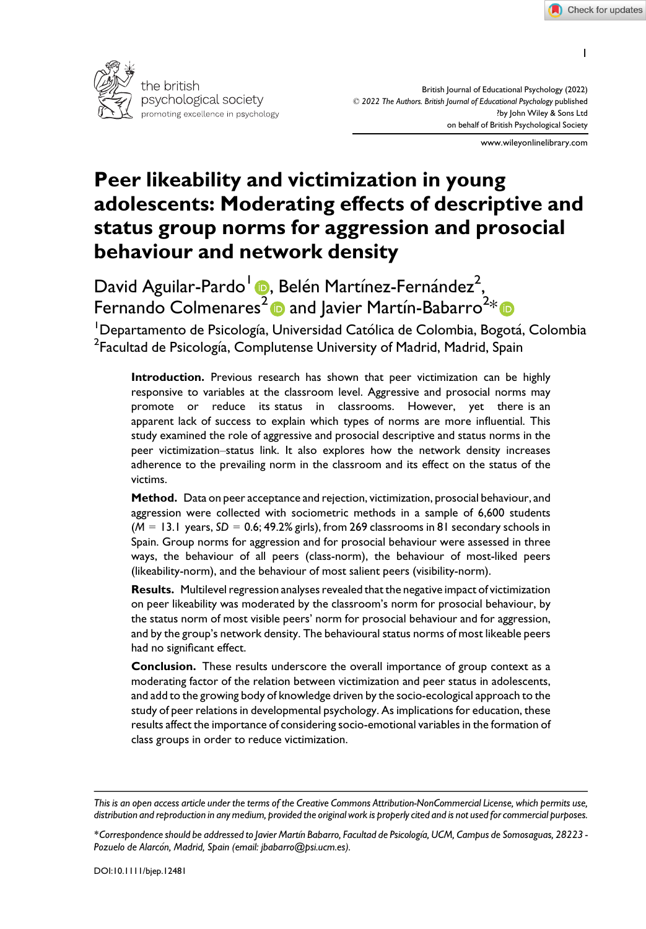1



British Journal of Educational Psychology (2022) © 2022 The Authors. British Journal of Educational Psychology published ?by John Wiley & Sons Ltd on behalf of British Psychological Society

www.wileyonlinelibrary.com

# Peer likeability and victimization in young adolescents: Moderating effects of descriptive and status group norms for aggression and prosocial behaviour and network density

David Aguilar-Pardo<sup>l</sup> (D. Belén Martínez-Fernández<sup>2</sup>, Fernando Colmenares $^2$  $^2$   $\bullet$  and Javier Martín-Babarro $^{2*}$  $^{2*}$  $^{2*}$ 

<sup>1</sup>Departamento de Psicología, Universidad Católica de Colombia, Bogotá, Colombia  $^2$ Facultad de Psicología, Complutense University of Madrid, Madrid, Spain

Introduction. Previous research has shown that peer victimization can be highly responsive to variables at the classroom level. Aggressive and prosocial norms may promote or reduce its status in classrooms. However, yet there is an apparent lack of success to explain which types of norms are more influential. This study examined the role of aggressive and prosocial descriptive and status norms in the peer victimization–status link. It also explores how the network density increases adherence to the prevailing norm in the classroom and its effect on the status of the victims.

Method. Data on peer acceptance and rejection, victimization, prosocial behaviour, and aggression were collected with sociometric methods in a sample of 6,600 students ( $M = 13.1$  years,  $SD = 0.6$ ; 49.2% girls), from 269 classrooms in 81 secondary schools in Spain. Group norms for aggression and for prosocial behaviour were assessed in three ways, the behaviour of all peers (class-norm), the behaviour of most-liked peers (likeability-norm), and the behaviour of most salient peers (visibility-norm).

Results. Multilevel regression analyses revealed that the negative impact of victimization on peer likeability was moderated by the classroom's norm for prosocial behaviour, by the status norm of most visible peers' norm for prosocial behaviour and for aggression, and by the group's network density. The behavioural status norms of most likeable peers had no significant effect.

Conclusion. These results underscore the overall importance of group context as a moderating factor of the relation between victimization and peer status in adolescents, and add to the growing body of knowledge driven by the socio-ecological approach to the study of peer relations in developmental psychology. As implications for education, these results affect the importance of considering socio-emotional variables in the formation of class groups in order to reduce victimization.

This is an open access article under the terms of the [Creative Commons Attribution-NonCommercial](http://creativecommons.org/licenses/by-nc/4.0/) License, which permits use, distribution and reproduction in any medium, provided the original work is properly cited and is not used for commercial purposes.

<sup>\*</sup>Correspondence should be addressed to Javier Martın Babarro, Facultad de Psicologıa, UCM, Campus de Somosaguas, 28223 Pozuelo de Alarcón, Madrid, Spain (email: [jbabarro@psi.ucm.es](mailto:)).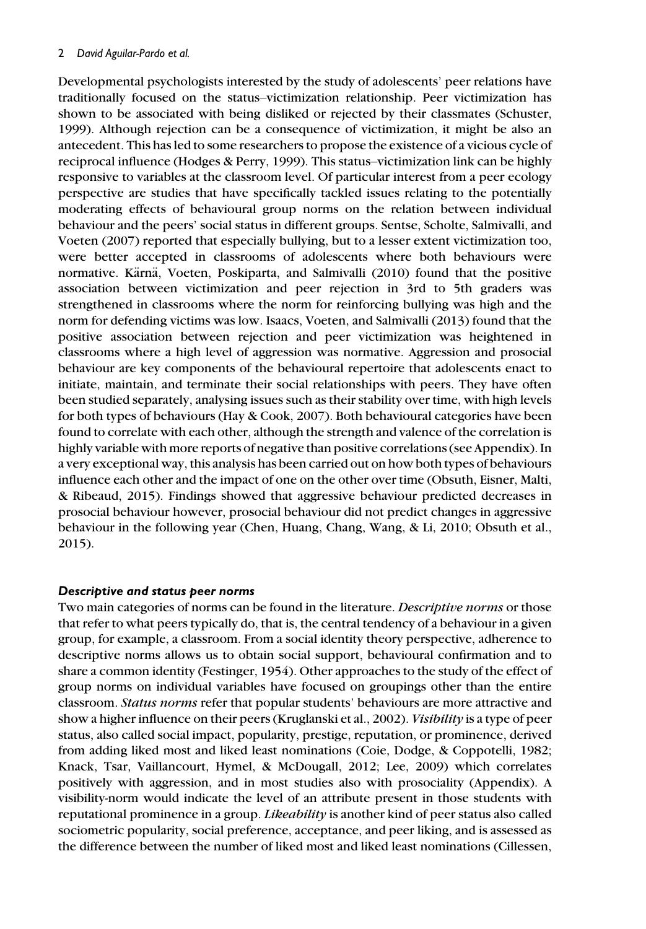Developmental psychologists interested by the study of adolescents' peer relations have traditionally focused on the status–victimization relationship. Peer victimization has shown to be associated with being disliked or rejected by their classmates (Schuster, 1999). Although rejection can be a consequence of victimization, it might be also an antecedent. This has led to some researchers to propose the existence of a vicious cycle of reciprocal influence (Hodges & Perry, 1999). This status–victimization link can be highly responsive to variables at the classroom level. Of particular interest from a peer ecology perspective are studies that have specifically tackled issues relating to the potentially moderating effects of behavioural group norms on the relation between individual behaviour and the peers' social status in different groups. Sentse, Scholte, Salmivalli, and Voeten (2007) reported that especially bullying, but to a lesser extent victimization too, were better accepted in classrooms of adolescents where both behaviours were normative. Kärnä, Voeten, Poskiparta, and Salmivalli (2010) found that the positive association between victimization and peer rejection in 3rd to 5th graders was strengthened in classrooms where the norm for reinforcing bullying was high and the norm for defending victims was low. Isaacs, Voeten, and Salmivalli (2013) found that the positive association between rejection and peer victimization was heightened in classrooms where a high level of aggression was normative. Aggression and prosocial behaviour are key components of the behavioural repertoire that adolescents enact to initiate, maintain, and terminate their social relationships with peers. They have often been studied separately, analysing issues such as their stability over time, with high levels for both types of behaviours (Hay & Cook, 2007). Both behavioural categories have been found to correlate with each other, although the strength and valence of the correlation is highly variable with more reports of negative than positive correlations (see Appendix). In a very exceptional way, this analysis has been carried out on how both types of behaviours influence each other and the impact of one on the other over time (Obsuth, Eisner, Malti, & Ribeaud, 2015). Findings showed that aggressive behaviour predicted decreases in prosocial behaviour however, prosocial behaviour did not predict changes in aggressive behaviour in the following year (Chen, Huang, Chang, Wang, & Li, 2010; Obsuth et al., 2015).

#### Descriptive and status peer norms

Two main categories of norms can be found in the literature. Descriptive norms or those that refer to what peers typically do, that is, the central tendency of a behaviour in a given group, for example, a classroom. From a social identity theory perspective, adherence to descriptive norms allows us to obtain social support, behavioural confirmation and to share a common identity (Festinger, 1954). Other approaches to the study of the effect of group norms on individual variables have focused on groupings other than the entire classroom. Status norms refer that popular students' behaviours are more attractive and show a higher influence on their peers (Kruglanski et al., 2002). Visibility is a type of peer status, also called social impact, popularity, prestige, reputation, or prominence, derived from adding liked most and liked least nominations (Coie, Dodge, & Coppotelli, 1982; Knack, Tsar, Vaillancourt, Hymel, & McDougall, 2012; Lee, 2009) which correlates positively with aggression, and in most studies also with prosociality (Appendix). A visibility-norm would indicate the level of an attribute present in those students with reputational prominence in a group. *Likeability* is another kind of peer status also called sociometric popularity, social preference, acceptance, and peer liking, and is assessed as the difference between the number of liked most and liked least nominations (Cillessen,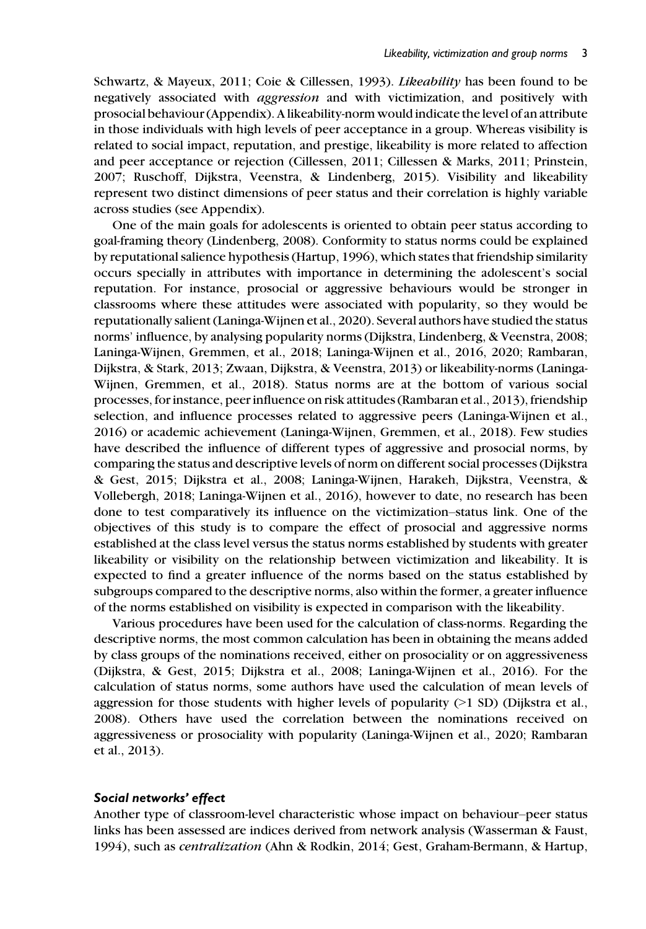Schwartz, & Mayeux, 2011; Coie & Cillessen, 1993). Likeability has been found to be negatively associated with aggression and with victimization, and positively with prosocial behaviour (Appendix). A likeability-norm would indicate the level of an attribute in those individuals with high levels of peer acceptance in a group. Whereas visibility is related to social impact, reputation, and prestige, likeability is more related to affection and peer acceptance or rejection (Cillessen, 2011; Cillessen & Marks, 2011; Prinstein, 2007; Ruschoff, Dijkstra, Veenstra, & Lindenberg, 2015). Visibility and likeability represent two distinct dimensions of peer status and their correlation is highly variable across studies (see Appendix).

One of the main goals for adolescents is oriented to obtain peer status according to goal-framing theory (Lindenberg, 2008). Conformity to status norms could be explained by reputational salience hypothesis (Hartup, 1996), which states that friendship similarity occurs specially in attributes with importance in determining the adolescent's social reputation. For instance, prosocial or aggressive behaviours would be stronger in classrooms where these attitudes were associated with popularity, so they would be reputationally salient (Laninga-Wijnen et al., 2020). Several authors have studied the status norms' influence, by analysing popularity norms (Dijkstra, Lindenberg, & Veenstra, 2008; Laninga-Wijnen, Gremmen, et al., 2018; Laninga-Wijnen et al., 2016, 2020; Rambaran, Dijkstra, & Stark, 2013; Zwaan, Dijkstra, & Veenstra, 2013) or likeability-norms (Laninga-Wijnen, Gremmen, et al., 2018). Status norms are at the bottom of various social processes, for instance, peer influence on risk attitudes (Rambaran et al., 2013), friendship selection, and influence processes related to aggressive peers (Laninga-Wijnen et al., 2016) or academic achievement (Laninga-Wijnen, Gremmen, et al., 2018). Few studies have described the influence of different types of aggressive and prosocial norms, by comparing the status and descriptive levels of norm on different social processes (Dijkstra & Gest, 2015; Dijkstra et al., 2008; Laninga-Wijnen, Harakeh, Dijkstra, Veenstra, & Vollebergh, 2018; Laninga-Wijnen et al., 2016), however to date, no research has been done to test comparatively its influence on the victimization–status link. One of the objectives of this study is to compare the effect of prosocial and aggressive norms established at the class level versus the status norms established by students with greater likeability or visibility on the relationship between victimization and likeability. It is expected to find a greater influence of the norms based on the status established by subgroups compared to the descriptive norms, also within the former, a greater influence of the norms established on visibility is expected in comparison with the likeability.

Various procedures have been used for the calculation of class-norms. Regarding the descriptive norms, the most common calculation has been in obtaining the means added by class groups of the nominations received, either on prosociality or on aggressiveness (Dijkstra, & Gest, 2015; Dijkstra et al., 2008; Laninga-Wijnen et al., 2016). For the calculation of status norms, some authors have used the calculation of mean levels of aggression for those students with higher levels of popularity  $(>1$  SD) (Dijkstra et al., 2008). Others have used the correlation between the nominations received on aggressiveness or prosociality with popularity (Laninga-Wijnen et al., 2020; Rambaran et al., 2013).

#### Social networks' effect

Another type of classroom-level characteristic whose impact on behaviour–peer status links has been assessed are indices derived from network analysis (Wasserman & Faust, 1994), such as centralization (Ahn & Rodkin, 2014; Gest, Graham-Bermann, & Hartup,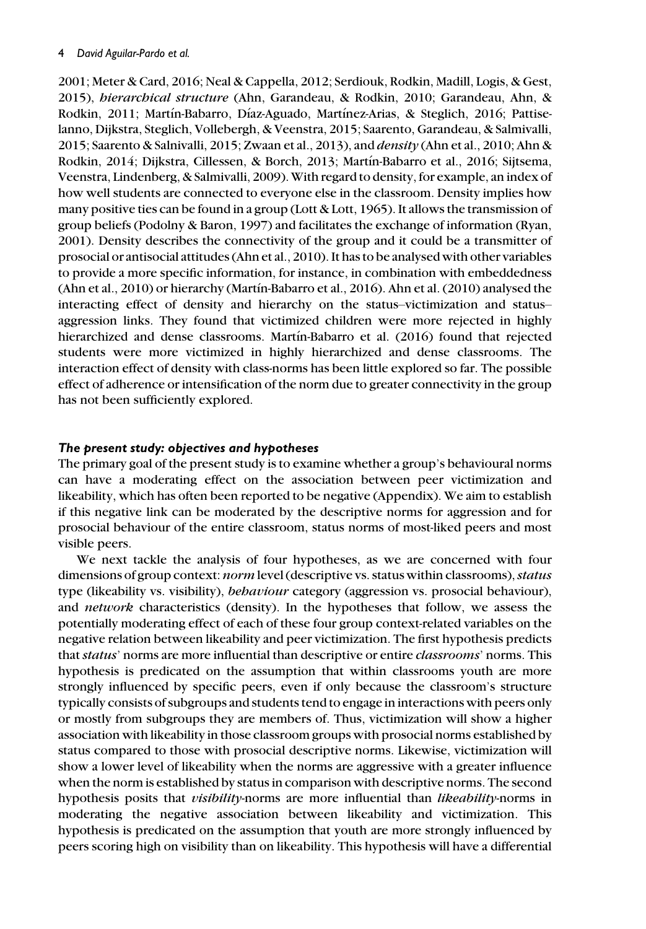2001; Meter & Card, 2016; Neal & Cappella, 2012; Serdiouk, Rodkin, Madill, Logis, & Gest, 2015), hierarchical structure (Ahn, Garandeau, & Rodkin, 2010; Garandeau, Ahn, & Rodkin, 2011; Martın-Babarro, Dıaz-Aguado, Martınez-Arias, & Steglich, 2016; Pattiselanno, Dijkstra, Steglich, Vollebergh, & Veenstra, 2015; Saarento, Garandeau, & Salmivalli, 2015; Saarento & Salnivalli, 2015; Zwaan et al., 2013), and  $density$  (Ahn et al., 2010; Ahn & Rodkin, 2014; Dijkstra, Cillessen, & Borch, 2013; Martın-Babarro et al., 2016; Sijtsema, Veenstra, Lindenberg, & Salmivalli, 2009).With regard to density, for example, an index of how well students are connected to everyone else in the classroom. Density implies how many positive ties can be found in a group (Lott & Lott, 1965). It allows the transmission of group beliefs (Podolny & Baron, 1997) and facilitates the exchange of information (Ryan, 2001). Density describes the connectivity of the group and it could be a transmitter of prosocial or antisocial attitudes (Ahn et al., 2010). It has to be analysed with other variables to provide a more specific information, for instance, in combination with embeddedness (Ahn et al., 2010) or hierarchy (Martın-Babarro et al., 2016). Ahn et al. (2010) analysed the interacting effect of density and hierarchy on the status–victimization and status– aggression links. They found that victimized children were more rejected in highly hierarchized and dense classrooms. Martín-Babarro et al. (2016) found that rejected students were more victimized in highly hierarchized and dense classrooms. The interaction effect of density with class-norms has been little explored so far. The possible effect of adherence or intensification of the norm due to greater connectivity in the group has not been sufficiently explored.

## The present study: objectives and hypotheses

The primary goal of the present study is to examine whether a group's behavioural norms can have a moderating effect on the association between peer victimization and likeability, which has often been reported to be negative (Appendix). We aim to establish if this negative link can be moderated by the descriptive norms for aggression and for prosocial behaviour of the entire classroom, status norms of most-liked peers and most visible peers.

We next tackle the analysis of four hypotheses, as we are concerned with four dimensions of group context: norm level (descriptive vs. status within classrooms), status type (likeability vs. visibility), *behaviour* category (aggression vs. prosocial behaviour), and *network* characteristics (density). In the hypotheses that follow, we assess the potentially moderating effect of each of these four group context-related variables on the negative relation between likeability and peer victimization. The first hypothesis predicts that status' norms are more influential than descriptive or entire classrooms' norms. This hypothesis is predicated on the assumption that within classrooms youth are more strongly influenced by specific peers, even if only because the classroom's structure typically consists of subgroups and students tend to engage in interactions with peers only or mostly from subgroups they are members of. Thus, victimization will show a higher association with likeability in those classroom groups with prosocial norms established by status compared to those with prosocial descriptive norms. Likewise, victimization will show a lower level of likeability when the norms are aggressive with a greater influence when the norm is established by status in comparison with descriptive norms. The second hypothesis posits that *visibility*-norms are more influential than *likeability*-norms in moderating the negative association between likeability and victimization. This hypothesis is predicated on the assumption that youth are more strongly influenced by peers scoring high on visibility than on likeability. This hypothesis will have a differential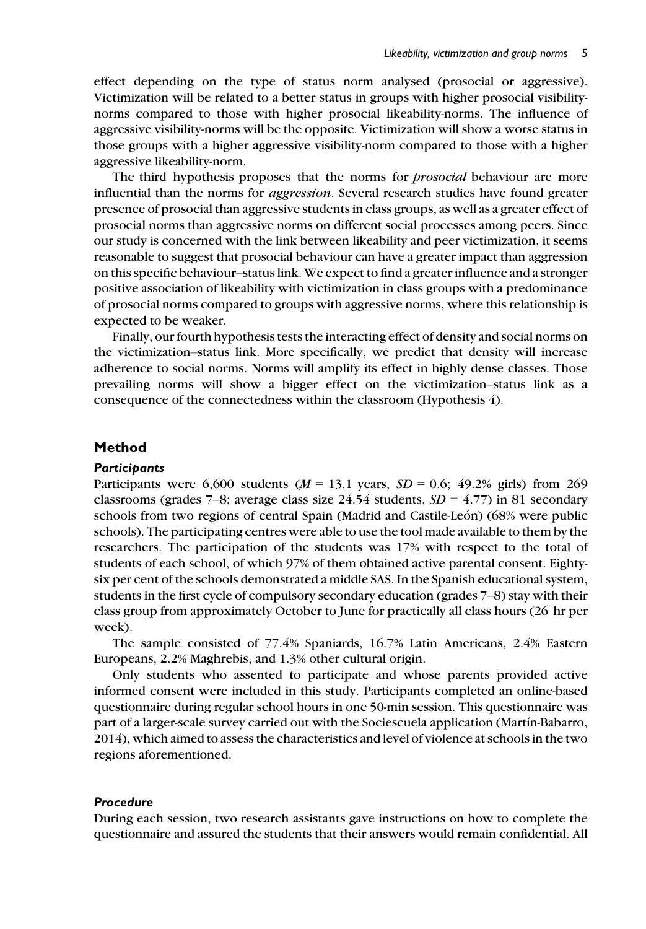effect depending on the type of status norm analysed (prosocial or aggressive). Victimization will be related to a better status in groups with higher prosocial visibilitynorms compared to those with higher prosocial likeability-norms. The influence of aggressive visibility-norms will be the opposite. Victimization will show a worse status in those groups with a higher aggressive visibility-norm compared to those with a higher aggressive likeability-norm.

The third hypothesis proposes that the norms for *prosocial* behaviour are more influential than the norms for aggression. Several research studies have found greater presence of prosocial than aggressive students in class groups, as well as a greater effect of prosocial norms than aggressive norms on different social processes among peers. Since our study is concerned with the link between likeability and peer victimization, it seems reasonable to suggest that prosocial behaviour can have a greater impact than aggression on this specific behaviour–status link. We expect to find a greater influence and a stronger positive association of likeability with victimization in class groups with a predominance of prosocial norms compared to groups with aggressive norms, where this relationship is expected to be weaker.

Finally, our fourth hypothesis tests the interacting effect of density and social norms on the victimization–status link. More specifically, we predict that density will increase adherence to social norms. Norms will amplify its effect in highly dense classes. Those prevailing norms will show a bigger effect on the victimization–status link as a consequence of the connectedness within the classroom (Hypothesis 4).

## Method

#### **Participants**

Participants were 6,600 students ( $M = 13.1$  years,  $SD = 0.6$ ; 49.2% girls) from 269 classrooms (grades 7–8; average class size 24.54 students,  $SD = 4.77$ ) in 81 secondary schools from two regions of central Spain (Madrid and Castile-Leon) (68% were public schools). The participating centres were able to use the tool made available to them by the researchers. The participation of the students was 17% with respect to the total of students of each school, of which 97% of them obtained active parental consent. Eightysix per cent of the schools demonstrated a middle SAS. In the Spanish educational system, students in the first cycle of compulsory secondary education (grades 7–8) stay with their class group from approximately October to June for practically all class hours (26 hr per week).

The sample consisted of 77.4% Spaniards, 16.7% Latin Americans, 2.4% Eastern Europeans, 2.2% Maghrebis, and 1.3% other cultural origin.

Only students who assented to participate and whose parents provided active informed consent were included in this study. Participants completed an online-based questionnaire during regular school hours in one 50-min session. This questionnaire was part of a larger-scale survey carried out with the Sociescuela application (Martın-Babarro, 2014), which aimed to assess the characteristics and level of violence at schools in the two regions aforementioned.

#### Procedure

During each session, two research assistants gave instructions on how to complete the questionnaire and assured the students that their answers would remain confidential. All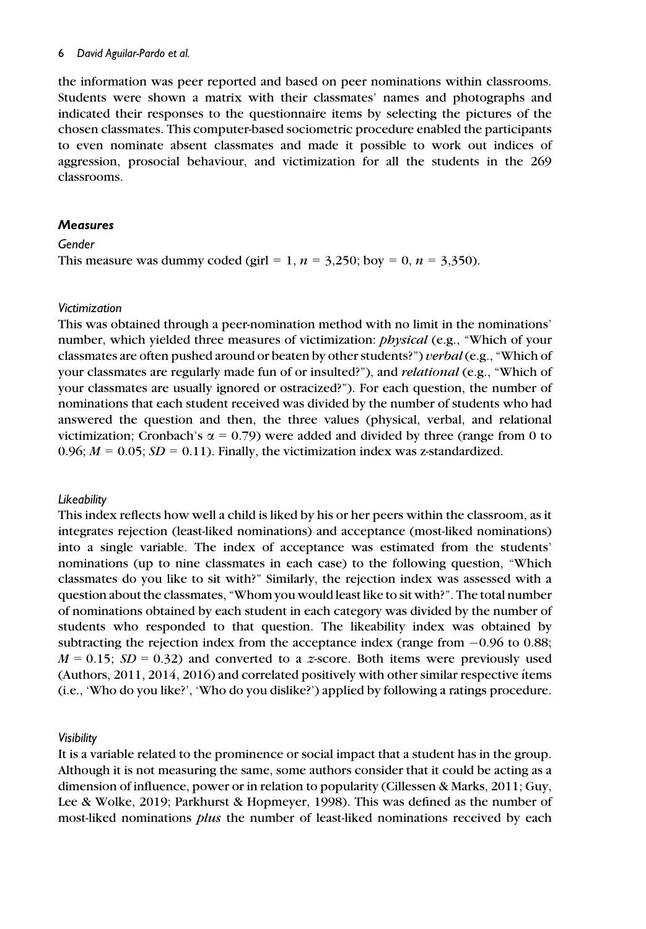the information was peer reported and based on peer nominations within classrooms. Students were shown a matrix with their classmates' names and photographs and indicated their responses to the questionnaire items by selecting the pictures of the chosen classmates. This computer-based sociometric procedure enabled the participants to even nominate absent classmates and made it possible to work out indices of aggression, prosocial behaviour, and victimization for all the students in the 269 classrooms.

### **Measures**

Gender

This measure was dummy coded (girl = 1,  $n = 3,250$ ; boy = 0,  $n = 3,350$ ).

#### Victimization

This was obtained through a peer-nomination method with no limit in the nominations' number, which yielded three measures of victimization: physical (e.g., "Which of your classmates are often pushed around or beaten by other students?") verbal (e.g., "Which of your classmates are regularly made fun of or insulted?"), and *relational* (e.g., "Which of your classmates are usually ignored or ostracized?"). For each question, the number of nominations that each student received was divided by the number of students who had answered the question and then, the three values (physical, verbal, and relational victimization; Cronbach's  $\alpha = 0.79$ ) were added and divided by three (range from 0 to 0.96;  $M = 0.05$ ;  $SD = 0.11$ ). Finally, the victimization index was z-standardized.

## **Likeability**

This index reflects how well a child is liked by his or her peers within the classroom, as it integrates rejection (least-liked nominations) and acceptance (most-liked nominations) into a single variable. The index of acceptance was estimated from the students' nominations (up to nine classmates in each case) to the following question, "Which classmates do you like to sit with?" Similarly, the rejection index was assessed with a question about the classmates, "Whom you would least like to sit with?". The total number of nominations obtained by each student in each category was divided by the number of students who responded to that question. The likeability index was obtained by subtracting the rejection index from the acceptance index (range from  $-0.96$  to 0.88;  $M = 0.15$ ;  $SD = 0.32$ ) and converted to a z-score. Both items were previously used (Authors,  $2011$ ,  $2014$ ,  $2016$ ) and correlated positively with other similar respective ítems (i.e., 'Who do you like?', 'Who do you dislike?') applied by following a ratings procedure.

#### Visibility

It is a variable related to the prominence or social impact that a student has in the group. Although it is not measuring the same, some authors consider that it could be acting as a dimension of influence, power or in relation to popularity (Cillessen & Marks, 2011; Guy, Lee & Wolke, 2019; Parkhurst & Hopmeyer, 1998). This was defined as the number of most-liked nominations *plus* the number of least-liked nominations received by each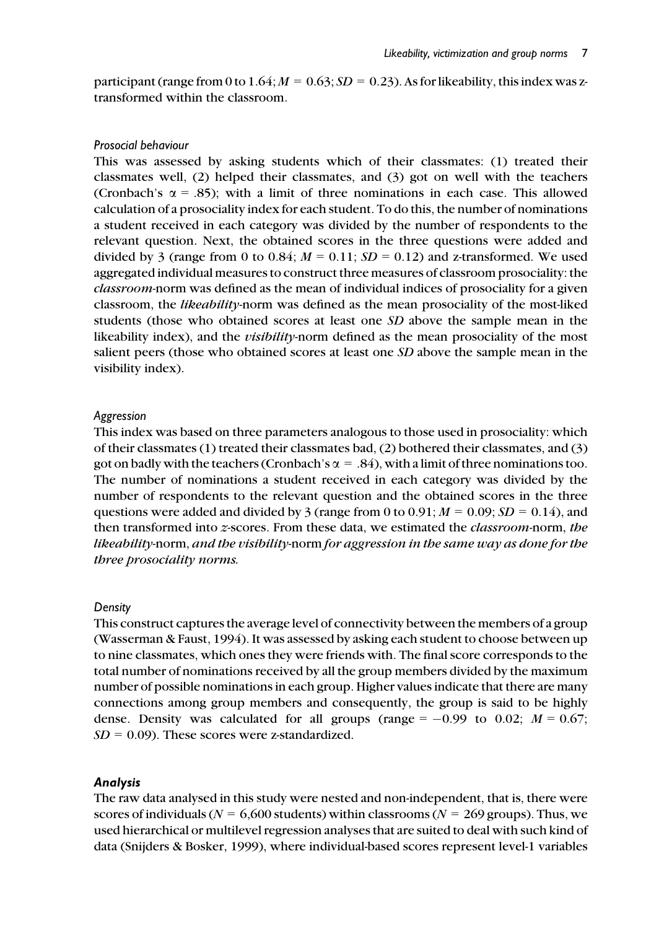participant (range from 0 to  $1.64$ ;  $M = 0.63$ ;  $SD = 0.23$ ). As for likeability, this index was ztransformed within the classroom.

#### Prosocial behaviour

This was assessed by asking students which of their classmates: (1) treated their classmates well, (2) helped their classmates, and (3) got on well with the teachers (Cronbach's  $\alpha$  = .85); with a limit of three nominations in each case. This allowed calculation of a prosociality index for each student. To do this, the number of nominations a student received in each category was divided by the number of respondents to the relevant question. Next, the obtained scores in the three questions were added and divided by 3 (range from 0 to 0.84;  $M = 0.11$ ;  $SD = 0.12$ ) and z-transformed. We used aggregated individual measures to construct three measures of classroom prosociality: the classroom-norm was defined as the mean of individual indices of prosociality for a given classroom, the likeability-norm was defined as the mean prosociality of the most-liked students (those who obtained scores at least one SD above the sample mean in the likeability index), and the *visibility*-norm defined as the mean prosociality of the most salient peers (those who obtained scores at least one SD above the sample mean in the visibility index).

#### Aggression

This index was based on three parameters analogous to those used in prosociality: which of their classmates (1) treated their classmates bad, (2) bothered their classmates, and (3) got on badly with the teachers (Cronbach's  $\alpha = .84$ ), with a limit of three nominations too. The number of nominations a student received in each category was divided by the number of respondents to the relevant question and the obtained scores in the three questions were added and divided by 3 (range from 0 to 0.91;  $M = 0.09$ ;  $SD = 0.14$ ), and then transformed into z-scores. From these data, we estimated the classroom-norm, the likeability-norm, and the visibility-norm for aggression in the same way as done for the three prosociality norms.

#### Density

This construct captures the average level of connectivity between the members of a group (Wasserman & Faust, 1994). It was assessed by asking each student to choose between up to nine classmates, which ones they were friends with. The final score corresponds to the total number of nominations received by all the group members divided by the maximum number of possible nominations in each group. Higher values indicate that there are many connections among group members and consequently, the group is said to be highly dense. Density was calculated for all groups (range =  $-0.99$  to 0.02;  $M = 0.67$ ;  $SD = 0.09$ ). These scores were z-standardized.

#### Analysis

The raw data analysed in this study were nested and non-independent, that is, there were scores of individuals ( $N = 6,600$  students) within classrooms ( $N = 269$  groups). Thus, we used hierarchical or multilevel regression analyses that are suited to deal with such kind of data (Snijders & Bosker, 1999), where individual-based scores represent level-1 variables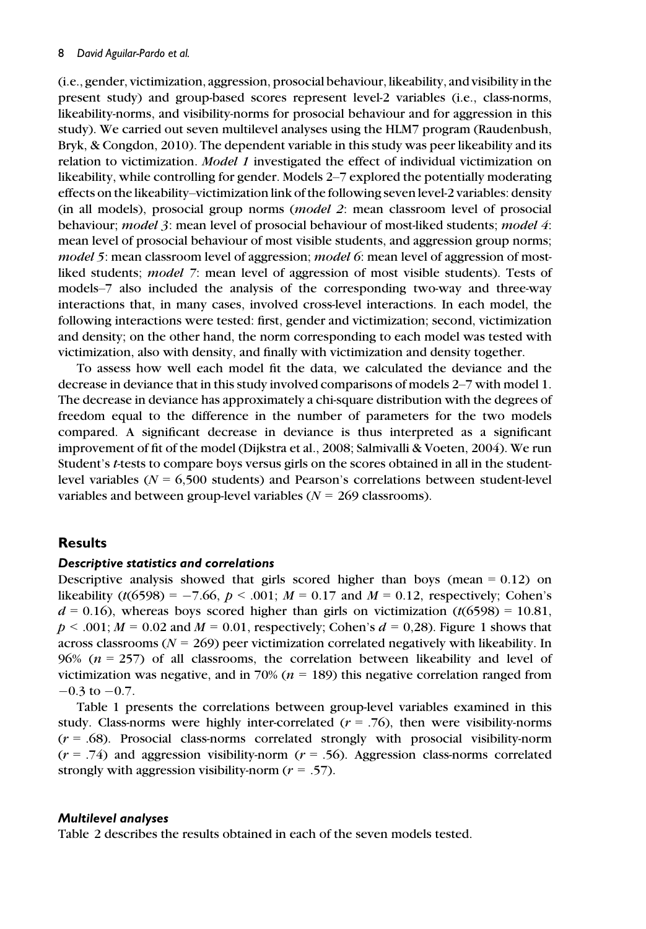(i.e., gender, victimization, aggression, prosocial behaviour, likeability, and visibility in the present study) and group-based scores represent level-2 variables (i.e., class-norms, likeability-norms, and visibility-norms for prosocial behaviour and for aggression in this study). We carried out seven multilevel analyses using the HLM7 program (Raudenbush, Bryk, & Congdon, 2010). The dependent variable in this study was peer likeability and its relation to victimization. *Model 1* investigated the effect of individual victimization on likeability, while controlling for gender. Models 2–7 explored the potentially moderating effects on the likeability–victimization link of the following seven level-2 variables: density (in all models), prosocial group norms (model 2: mean classroom level of prosocial behaviour; *model 3*: mean level of prosocial behaviour of most-liked students; *model 4*: mean level of prosocial behaviour of most visible students, and aggression group norms; model 5: mean classroom level of aggression; model 6: mean level of aggression of mostliked students; model 7: mean level of aggression of most visible students). Tests of models–7 also included the analysis of the corresponding two-way and three-way interactions that, in many cases, involved cross-level interactions. In each model, the following interactions were tested: first, gender and victimization; second, victimization and density; on the other hand, the norm corresponding to each model was tested with victimization, also with density, and finally with victimization and density together.

To assess how well each model fit the data, we calculated the deviance and the decrease in deviance that in this study involved comparisons of models 2–7 with model 1. The decrease in deviance has approximately a chi-square distribution with the degrees of freedom equal to the difference in the number of parameters for the two models compared. A significant decrease in deviance is thus interpreted as a significant improvement of fit of the model (Dijkstra et al., 2008; Salmivalli & Voeten, 2004). We run Student's t-tests to compare boys versus girls on the scores obtained in all in the studentlevel variables ( $N = 6,500$  students) and Pearson's correlations between student-level variables and between group-level variables ( $N = 269$  classrooms).

## Results

#### Descriptive statistics and correlations

Descriptive analysis showed that girls scored higher than boys (mean  $= 0.12$ ) on likeability (t(6598) = -7.66,  $p < .001$ ;  $M = 0.17$  and  $M = 0.12$ , respectively; Cohen's  $d = 0.16$ ), whereas boys scored higher than girls on victimization (t(6598) = 10.81,  $p < .001$ ;  $M = 0.02$  and  $M = 0.01$ , respectively; Cohen's  $d = 0.28$ ). Figure 1 shows that across classrooms ( $N = 269$ ) peer victimization correlated negatively with likeability. In 96% ( $n = 257$ ) of all classrooms, the correlation between likeability and level of victimization was negative, and in 70% ( $n = 189$ ) this negative correlation ranged from  $-0.3$  to  $-0.7$ .

Table 1 presents the correlations between group-level variables examined in this study. Class-norms were highly inter-correlated  $(r = .76)$ , then were visibility-norms  $(r = .68)$ . Prosocial class-norms correlated strongly with prosocial visibility-norm  $(r = .74)$  and aggression visibility-norm  $(r = .56)$ . Aggression class-norms correlated strongly with aggression visibility-norm  $(r = .57)$ .

#### Multilevel analyses

Table 2 describes the results obtained in each of the seven models tested.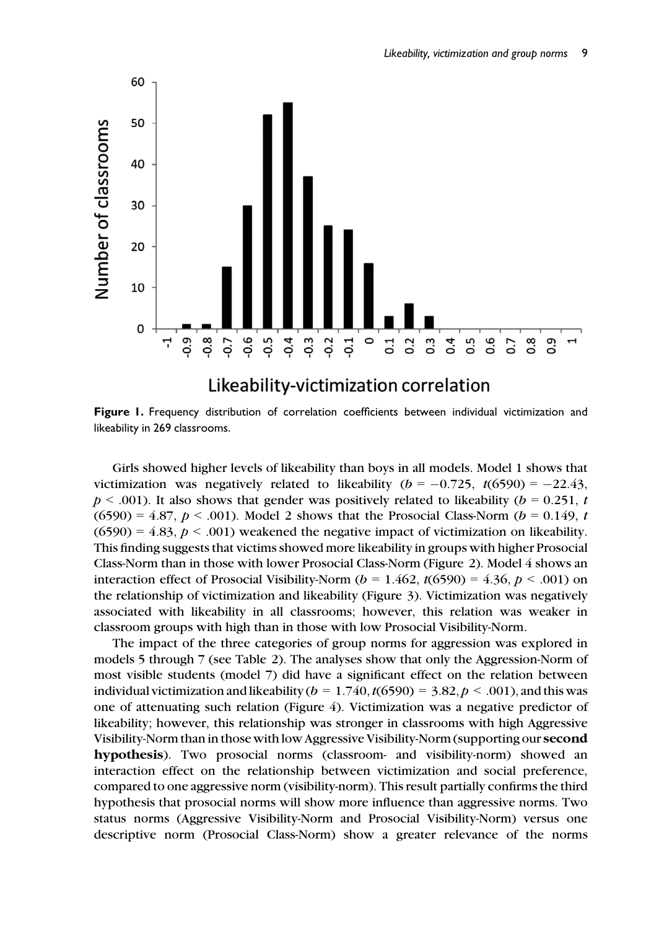

Figure 1. Frequency distribution of correlation coefficients between individual victimization and likeability in 269 classrooms.

Girls showed higher levels of likeability than boys in all models. Model 1 shows that victimization was negatively related to likeability ( $b = -0.725$ ,  $t(6590) = -22.43$ ,  $p < .001$ ). It also shows that gender was positively related to likeability ( $b = 0.251$ , t  $(6590) = 4.87, p < .001$ ). Model 2 shows that the Prosocial Class-Norm ( $b = 0.149, t$ )  $(6590) = 4.83, p < .001$ ) weakened the negative impact of victimization on likeability. This finding suggests that victims showed more likeability in groups with higher Prosocial Class-Norm than in those with lower Prosocial Class-Norm (Figure 2). Model 4 shows an interaction effect of Prosocial Visibility-Norm ( $b = 1.462$ ,  $t(6590) = 4.36$ ,  $p < .001$ ) on the relationship of victimization and likeability (Figure 3). Victimization was negatively associated with likeability in all classrooms; however, this relation was weaker in classroom groups with high than in those with low Prosocial Visibility-Norm.

The impact of the three categories of group norms for aggression was explored in models 5 through 7 (see Table 2). The analyses show that only the Aggression-Norm of most visible students (model 7) did have a significant effect on the relation between individual victimization and likeability ( $b = 1.740, t(6590) = 3.82, p < .001$ ), and this was one of attenuating such relation (Figure 4). Victimization was a negative predictor of likeability; however, this relationship was stronger in classrooms with high Aggressive Visibility-Norm than in those with low Aggressive Visibility-Norm (supporting our second hypothesis). Two prosocial norms (classroom- and visibility-norm) showed an interaction effect on the relationship between victimization and social preference, compared to one aggressive norm (visibility-norm). This result partially confirms the third hypothesis that prosocial norms will show more influence than aggressive norms. Two status norms (Aggressive Visibility-Norm and Prosocial Visibility-Norm) versus one descriptive norm (Prosocial Class-Norm) show a greater relevance of the norms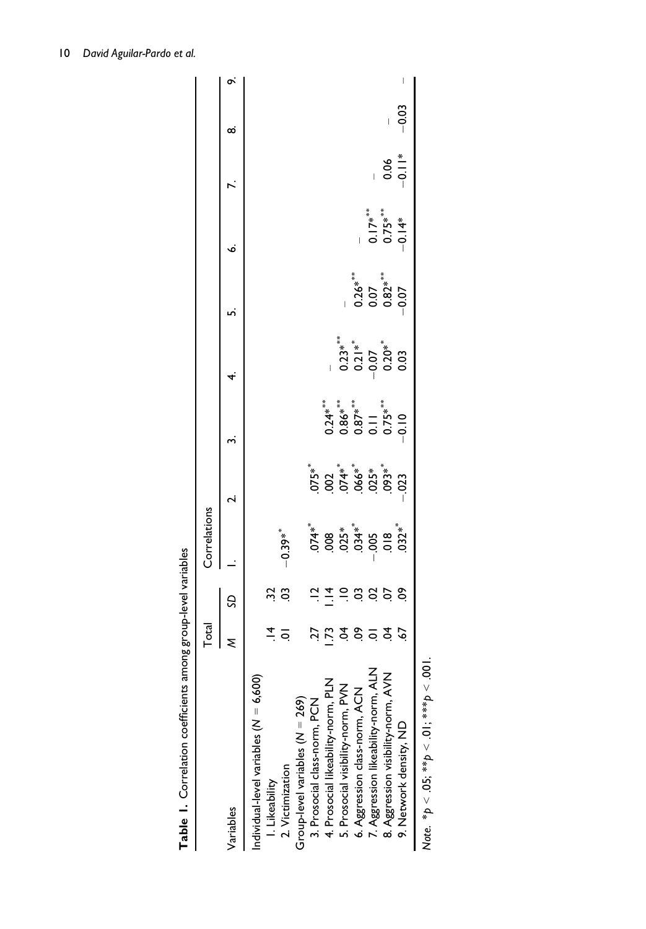|                                          | <b>Total</b> |                                                                                 | Correlations                                                                           |                                             |                                       |                                          |                                 |                                                                                                    |                             |         |   |
|------------------------------------------|--------------|---------------------------------------------------------------------------------|----------------------------------------------------------------------------------------|---------------------------------------------|---------------------------------------|------------------------------------------|---------------------------------|----------------------------------------------------------------------------------------------------|-----------------------------|---------|---|
| Variables                                |              | SD                                                                              |                                                                                        |                                             | ო                                     | 4.                                       | ِس                              | ö                                                                                                  |                             | ∞       | õ |
| Individual-level variables $(N = 6,600)$ |              |                                                                                 |                                                                                        |                                             |                                       |                                          |                                 |                                                                                                    |                             |         |   |
| I. Likeability                           |              |                                                                                 |                                                                                        |                                             |                                       |                                          |                                 |                                                                                                    |                             |         |   |
| 2. Victimization                         |              | ង ន                                                                             | $-0.39**$                                                                              |                                             |                                       |                                          |                                 |                                                                                                    |                             |         |   |
| Group-level variables (N = 269)          |              |                                                                                 |                                                                                        |                                             |                                       |                                          |                                 |                                                                                                    |                             |         |   |
| 3. Prosocial class-norm, PCN             |              |                                                                                 |                                                                                        |                                             |                                       |                                          |                                 |                                                                                                    |                             |         |   |
| 4. Prosocial likeability-norm, PLN       | Ŗ            | $\vec{a}$ $\vec{a}$ $\vec{b}$ $\vec{c}$ $\vec{c}$ $\vec{c}$ $\vec{c}$ $\vec{c}$ | $74 *$<br>$98 *$<br>$98 *$<br>$99 *$<br>$99 *$<br>$99 *$<br>$99 *$<br>$99 *$<br>$99 *$ | **<br>072 ***<br>074 ***<br>073 085 085 *** |                                       |                                          |                                 |                                                                                                    |                             |         |   |
| 5. Prosocial visibility-norm, PVN        |              |                                                                                 |                                                                                        |                                             |                                       |                                          |                                 |                                                                                                    |                             |         |   |
| 6. Aggression class-norm, ACN            | 289922       |                                                                                 |                                                                                        |                                             | *************<br>2386<br>0380 0 0 0 0 | *****<br>0.21**<br>0.207<br>0.03<br>0.03 | ;***<br>0.26***<br>0.07<br>0.07 |                                                                                                    |                             |         |   |
| 7. Aggression likeability-norm, ALN      |              |                                                                                 |                                                                                        |                                             |                                       |                                          |                                 |                                                                                                    |                             |         |   |
| 8. Aggression visibility-norm, AVN       |              |                                                                                 |                                                                                        |                                             |                                       |                                          |                                 | $\frac{1}{0}$<br>$\frac{1}{0}$<br>$\frac{7}{5}$<br>$\frac{4}{4}$<br>$\frac{1}{1}$<br>$\frac{4}{1}$ | $\frac{8}{0} = \frac{1}{0}$ |         |   |
| 9. Network density, ND                   |              |                                                                                 |                                                                                        |                                             |                                       |                                          |                                 |                                                                                                    |                             | $-0.03$ |   |
| くく バー・リー・リー・ビー・・・・ こうしょう しょうしょう こうしょう    |              |                                                                                 |                                                                                        |                                             |                                       |                                          |                                 |                                                                                                    |                             |         |   |

Table 1. Correlation coefficients among group-level variables  ${\sf Table~1.}$  Correlation coefficients among group-level variables

Note. \* $p < .05$ ; \*\* $p < .01$ ; \*\*\* $p < .001$ . Note. \* $p < .05;$  \*\* $p < .01;$  \*\*\* $p < .001$ .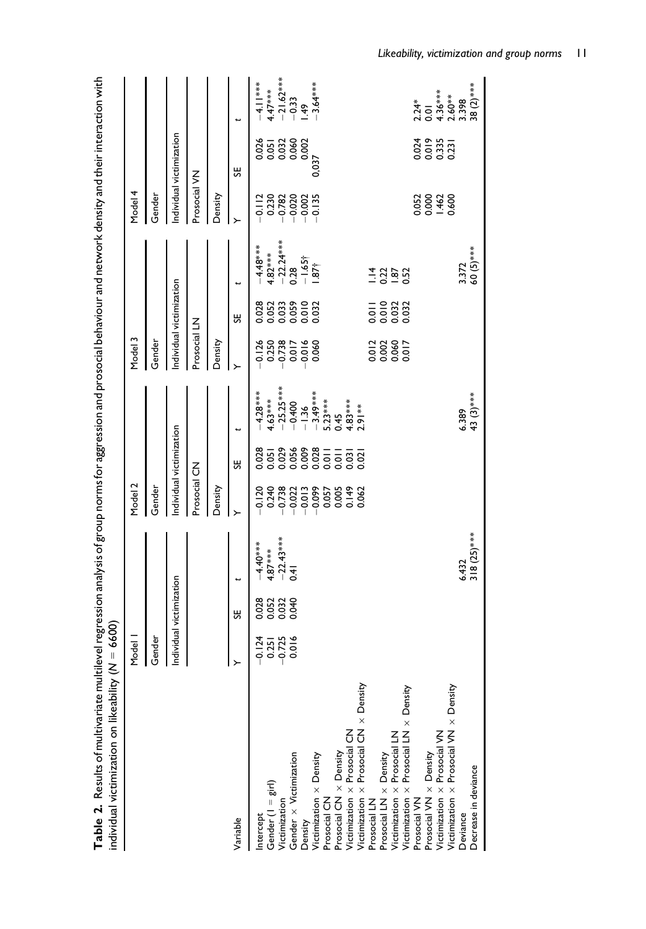| individual victimization on likeability (                                                                                                                                                                                                                                                                                                                                                                                                                                                                         | $M = 6600$                                |                         | .<br>.                                        | $\frac{1}{2}$  | .<br>8                   |                                                                                                                        |                                                                                                                                                                                                                                                                                                                                                                                                                                        |                                                                                                                         |                                                                                          | ֧֚֝<br>֧֧֧֧֪֪֪֧֧֧֧֧֧֧֪֧֧֧֪֪֪֪֪֪֪֦֧֦֧֧֪֪֪֪֪֦֧֧֪֦֧֚֚֚֚֚֚֝֝֝֓֝֝֝֬֝֬֝֬֝֬֝֬֝֬֝֬֜֝֬֝֬֝֬֝֬֝֬֝֬                                                                                                                                                                                                                                                                                                                        |                                                          |                                                                                                                                        |
|-------------------------------------------------------------------------------------------------------------------------------------------------------------------------------------------------------------------------------------------------------------------------------------------------------------------------------------------------------------------------------------------------------------------------------------------------------------------------------------------------------------------|-------------------------------------------|-------------------------|-----------------------------------------------|----------------|--------------------------|------------------------------------------------------------------------------------------------------------------------|----------------------------------------------------------------------------------------------------------------------------------------------------------------------------------------------------------------------------------------------------------------------------------------------------------------------------------------------------------------------------------------------------------------------------------------|-------------------------------------------------------------------------------------------------------------------------|------------------------------------------------------------------------------------------|----------------------------------------------------------------------------------------------------------------------------------------------------------------------------------------------------------------------------------------------------------------------------------------------------------------------------------------------------------------------------------------------------------------|----------------------------------------------------------|----------------------------------------------------------------------------------------------------------------------------------------|
|                                                                                                                                                                                                                                                                                                                                                                                                                                                                                                                   | Model I                                   |                         |                                               | Model 2        |                          |                                                                                                                        | Model 3                                                                                                                                                                                                                                                                                                                                                                                                                                |                                                                                                                         |                                                                                          | Model 4                                                                                                                                                                                                                                                                                                                                                                                                        |                                                          |                                                                                                                                        |
|                                                                                                                                                                                                                                                                                                                                                                                                                                                                                                                   | Gender                                    |                         |                                               | Gender         |                          |                                                                                                                        | Gender                                                                                                                                                                                                                                                                                                                                                                                                                                 |                                                                                                                         |                                                                                          | Gender                                                                                                                                                                                                                                                                                                                                                                                                         |                                                          |                                                                                                                                        |
|                                                                                                                                                                                                                                                                                                                                                                                                                                                                                                                   | Individual victimization                  |                         |                                               |                | Individual victimization |                                                                                                                        |                                                                                                                                                                                                                                                                                                                                                                                                                                        | Individual victimization                                                                                                |                                                                                          |                                                                                                                                                                                                                                                                                                                                                                                                                | Individual victimization                                 |                                                                                                                                        |
|                                                                                                                                                                                                                                                                                                                                                                                                                                                                                                                   |                                           |                         |                                               | Prosocial CN   |                          |                                                                                                                        | Prosocial LN                                                                                                                                                                                                                                                                                                                                                                                                                           |                                                                                                                         |                                                                                          | Prosocial VN                                                                                                                                                                                                                                                                                                                                                                                                   |                                                          |                                                                                                                                        |
|                                                                                                                                                                                                                                                                                                                                                                                                                                                                                                                   |                                           |                         |                                               | Density        |                          |                                                                                                                        | Density                                                                                                                                                                                                                                                                                                                                                                                                                                |                                                                                                                         |                                                                                          | Density                                                                                                                                                                                                                                                                                                                                                                                                        |                                                          |                                                                                                                                        |
| Variable                                                                                                                                                                                                                                                                                                                                                                                                                                                                                                          | >                                         | ႕                       | ↔                                             |                | œ                        |                                                                                                                        |                                                                                                                                                                                                                                                                                                                                                                                                                                        | œ                                                                                                                       | t                                                                                        |                                                                                                                                                                                                                                                                                                                                                                                                                | œ                                                        |                                                                                                                                        |
| Victimization x Prosocial CN x Density<br>Prosocial LN<br>Prosocial LN x Density<br>Victimization x Prosocial VN x Density<br>Victimization $\times$ Prosocial LN<br>Victimization $\times$ Prosocial LN $\times$ Density<br>Victimization x Prosocial CN<br>Victimization x Prosocial VN<br>Prosocial VN $\times$ Density<br>Prosocial CN x Density<br>Gender x Victimization<br>$V$ ictimization $\times$ Density<br>Gender (I = girl)<br>Prosocial CN<br>Prosocial VN<br>Victimization<br>Intercept<br>Density | 0.016<br>$-0.725$<br>$-0.725$<br>$-0.725$ | 0.028<br>0.032<br>0.040 | $-4.40***$<br>$+87***$<br>$-22.43***$<br>0.41 | 0.062<br>0.062 |                          | $-4.28***$<br>$4.63***$<br>$-25.25***$<br>$-3.49***$<br>5.23***<br>$4.83***$<br>2.91 **<br>$-0.400$<br>$-1.36$<br>0.45 | $\begin{array}{@{}c@{\hspace{1em}}c@{\hspace{1em}}c@{\hspace{1em}}c@{\hspace{1em}}c@{\hspace{1em}}c@{\hspace{1em}}c@{\hspace{1em}}c@{\hspace{1em}}c@{\hspace{1em}}c@{\hspace{1em}}c@{\hspace{1em}}c@{\hspace{1em}}c@{\hspace{1em}}c@{\hspace{1em}}c@{\hspace{1em}}c@{\hspace{1em}}c@{\hspace{1em}}c@{\hspace{1em}}c@{\hspace{1em}}c@{\hspace{1em}}c@{\hspace{1em}}c@{\hspace{1em}}c@{\hspace{1em}}c@{\hspace{$<br>$\frac{2880}{20000}$ | 0.028<br>0.033<br>0.059<br>0.032<br>$\frac{1}{2}$ $\frac{0}{2}$ $\frac{0}{2}$ $\frac{0}{2}$ $\frac{0}{2}$ $\frac{0}{2}$ | $-4.48***$<br>$+82***$<br>$-22.24***$<br>$-22.24***$<br>$-1.65$ †<br>$-1.65$ †<br>$-282$ | $\begin{array}{@{}c@{\hspace{1em}}c@{\hspace{1em}}c@{\hspace{1em}}c@{\hspace{1em}}c@{\hspace{1em}}c@{\hspace{1em}}c@{\hspace{1em}}c@{\hspace{1em}}c@{\hspace{1em}}c@{\hspace{1em}}c@{\hspace{1em}}c@{\hspace{1em}}c@{\hspace{1em}}c@{\hspace{1em}}c@{\hspace{1em}}c@{\hspace{1em}}c@{\hspace{1em}}c@{\hspace{1em}}c@{\hspace{1em}}c@{\hspace{1em}}c@{\hspace{1em}}c@{\hspace{1em}}c@{\hspace{1em}}c@{\hspace{$ | 0.013<br>0.013<br>0.013<br>85<br>85888<br>00000<br>0,037 | $-4.11***$<br>$4.47***$<br>$-21.62***$<br>$-0.33$<br>$1.49$<br>$-3.64***$<br>$2.24$ *<br>0.01<br>0.4.36***<br>2.60**<br>2.398<br>3.398 |
| Decrease in deviance<br>Deviance                                                                                                                                                                                                                                                                                                                                                                                                                                                                                  |                                           |                         | $6.432$<br>318 (25)***                        |                |                          | $6.389$<br>43 (3)***                                                                                                   |                                                                                                                                                                                                                                                                                                                                                                                                                                        |                                                                                                                         | $3.372$<br>60 (5)***                                                                     |                                                                                                                                                                                                                                                                                                                                                                                                                |                                                          |                                                                                                                                        |

 $\sf Table~2.$  Results of multivariate multilevel regression analysis of group norms for aggression and prosocial behaviour and network density and their interaction with Table 2. Results of multivariate multilevel regression analysis of group norms for aggression and prosocial behaviour and network density and their interaction with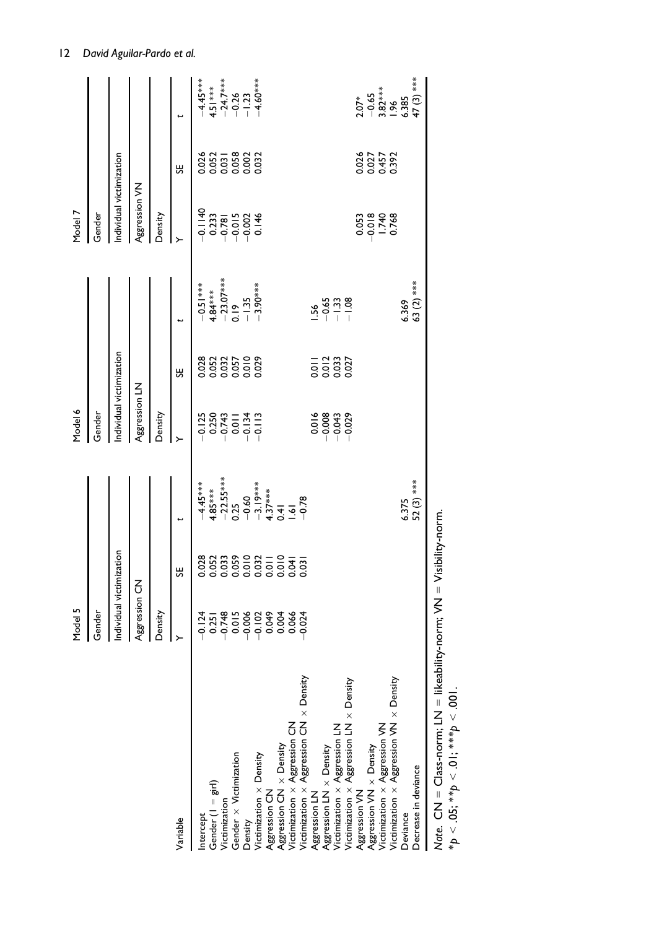|                                                                                                          | Model 5                  |                                       |                                                                                                      | Model 6                                                        |                                                                                     |                                                      | Model 7                          |                                   |                                                                           |
|----------------------------------------------------------------------------------------------------------|--------------------------|---------------------------------------|------------------------------------------------------------------------------------------------------|----------------------------------------------------------------|-------------------------------------------------------------------------------------|------------------------------------------------------|----------------------------------|-----------------------------------|---------------------------------------------------------------------------|
|                                                                                                          | Gender                   |                                       |                                                                                                      | Gender<br>O                                                    |                                                                                     |                                                      | Gender                           |                                   |                                                                           |
|                                                                                                          | Individual victimization |                                       |                                                                                                      | ndividual victimization                                        |                                                                                     |                                                      | Individual victimization         |                                   |                                                                           |
|                                                                                                          | Aggression CN            |                                       |                                                                                                      | Aggression LN                                                  |                                                                                     |                                                      | Aggression VN                    |                                   |                                                                           |
|                                                                                                          | Density                  |                                       |                                                                                                      | Density                                                        |                                                                                     |                                                      | Density                          |                                   |                                                                           |
| Variable                                                                                                 |                          | ႕                                     | t                                                                                                    |                                                                | ŠΕ                                                                                  | t                                                    |                                  | ႕                                 |                                                                           |
| htercept                                                                                                 |                          |                                       |                                                                                                      |                                                                |                                                                                     |                                                      |                                  |                                   |                                                                           |
| Gender $(1 - gir)$                                                                                       |                          |                                       |                                                                                                      |                                                                |                                                                                     |                                                      |                                  |                                   |                                                                           |
| Victimization                                                                                            |                          |                                       |                                                                                                      |                                                                |                                                                                     |                                                      |                                  |                                   |                                                                           |
| Gender x Victimization                                                                                   |                          |                                       |                                                                                                      | 21<br>0250<br>0250<br>0000000                                  | 88232500<br>00005000<br>0000000                                                     | $-0.51***$<br>4.84***<br>$-23.07***$<br>0.19<br>0.19 |                                  | 0.052<br>0.053<br>0.058<br>0.0032 | $-4.45***$<br>$4.51***$<br>$-24.7***$<br>$-0.26$<br>$-1.23$<br>$-1.60***$ |
| Density                                                                                                  |                          |                                       |                                                                                                      |                                                                |                                                                                     |                                                      |                                  |                                   |                                                                           |
| Victimization x Density                                                                                  |                          | 8<br>03033620211247<br>03030000000000 | $4.45***$ $+85***$ $+85***$ $+85***$ $-22.55***$ $-0.25$ $-0.45***$ $-0.55***$ $-0.55***$ $-0.55***$ |                                                                |                                                                                     | $-3.90***$                                           |                                  |                                   |                                                                           |
| Aggression CN                                                                                            |                          |                                       |                                                                                                      |                                                                |                                                                                     |                                                      |                                  |                                   |                                                                           |
| Aggression CN $\times$ Density<br>Victimization $\times$ Aggression CN                                   |                          |                                       |                                                                                                      |                                                                |                                                                                     |                                                      |                                  |                                   |                                                                           |
|                                                                                                          |                          |                                       |                                                                                                      |                                                                |                                                                                     |                                                      |                                  |                                   |                                                                           |
| Victimization $\times$ Aggression CN $\times$ Density<br>Aggression LN                                   |                          |                                       |                                                                                                      |                                                                |                                                                                     |                                                      |                                  |                                   |                                                                           |
|                                                                                                          |                          |                                       |                                                                                                      |                                                                |                                                                                     | $-56$                                                |                                  |                                   |                                                                           |
| Aggression LN x Density                                                                                  |                          |                                       |                                                                                                      |                                                                |                                                                                     |                                                      |                                  |                                   |                                                                           |
| Victimization $\times$ Aggression LN<br>Victimization $\times$ Aggression LN $\times$ Density            |                          |                                       |                                                                                                      | $\begin{array}{c}\n 16 \\  - 0.0043 \\  - 0.029\n \end{array}$ | $\frac{1}{0}$ $\frac{2}{0}$ $\frac{3}{0}$ $\frac{3}{0}$ $\frac{3}{0}$ $\frac{3}{0}$ | $-0.33$<br>$-1.38$<br>$-1.68$                        |                                  |                                   |                                                                           |
| Aggression VN                                                                                            |                          |                                       |                                                                                                      |                                                                |                                                                                     |                                                      |                                  |                                   |                                                                           |
| Aggression VN x Density                                                                                  |                          |                                       |                                                                                                      |                                                                |                                                                                     |                                                      | 0.053<br>0.018<br>0.748<br>0.768 | 0.027<br>0.027<br>0.0457<br>0.392 |                                                                           |
| Victimization $\times$ Aggression VN<br>Victimization $\times$ Aggression VN $\times$ Density            |                          |                                       |                                                                                                      |                                                                |                                                                                     |                                                      |                                  |                                   |                                                                           |
|                                                                                                          |                          |                                       |                                                                                                      |                                                                |                                                                                     |                                                      |                                  |                                   | $2.07*$<br>$-0.65$<br>$-3.82***$<br>$-1.96$<br>$6.385$                    |
| Deviance                                                                                                 |                          |                                       | $6.375$<br>52 (3) ***                                                                                |                                                                |                                                                                     | 6.369                                                |                                  |                                   |                                                                           |
| Decrease in deviance                                                                                     |                          |                                       |                                                                                                      |                                                                |                                                                                     | 63 (2) ***                                           |                                  |                                   | 47 (3) ***                                                                |
| Note. CN = Class-norm; LN = likeability-norm; VN = Visibility-norm.<br>*p < .05; **p < .01; ***p < .001. |                          |                                       |                                                                                                      |                                                                |                                                                                     |                                                      |                                  |                                   |                                                                           |

12 David Aguilar-Pardo et al.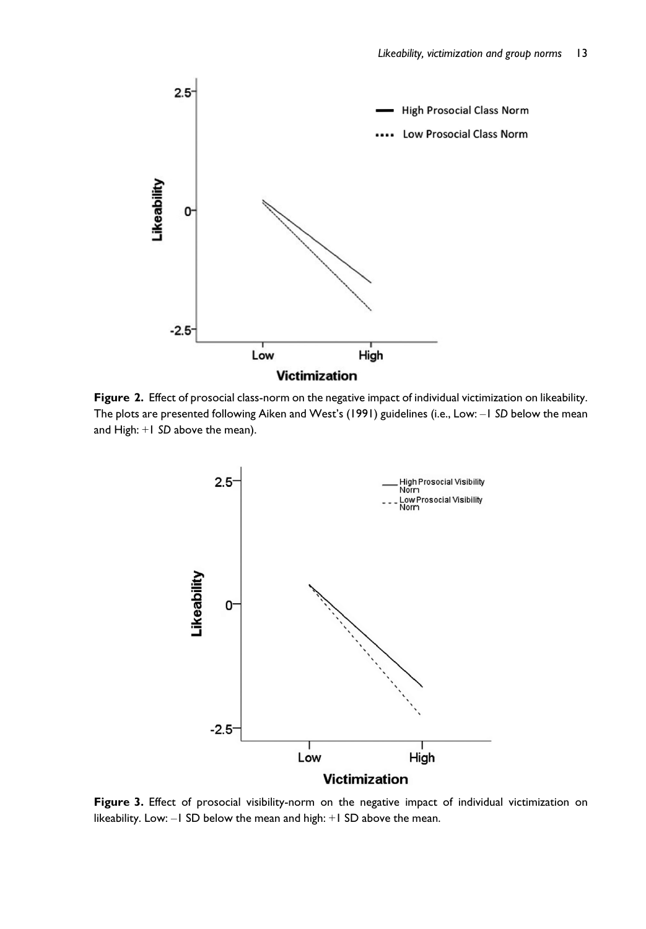

Figure 2. Effect of prosocial class-norm on the negative impact of individual victimization on likeability. The plots are presented following Aiken and West's (1991) guidelines (i.e., Low: –1 SD below the mean and High: +1 SD above the mean).



Figure 3. Effect of prosocial visibility-norm on the negative impact of individual victimization on likeability. Low: –1 SD below the mean and high: +1 SD above the mean.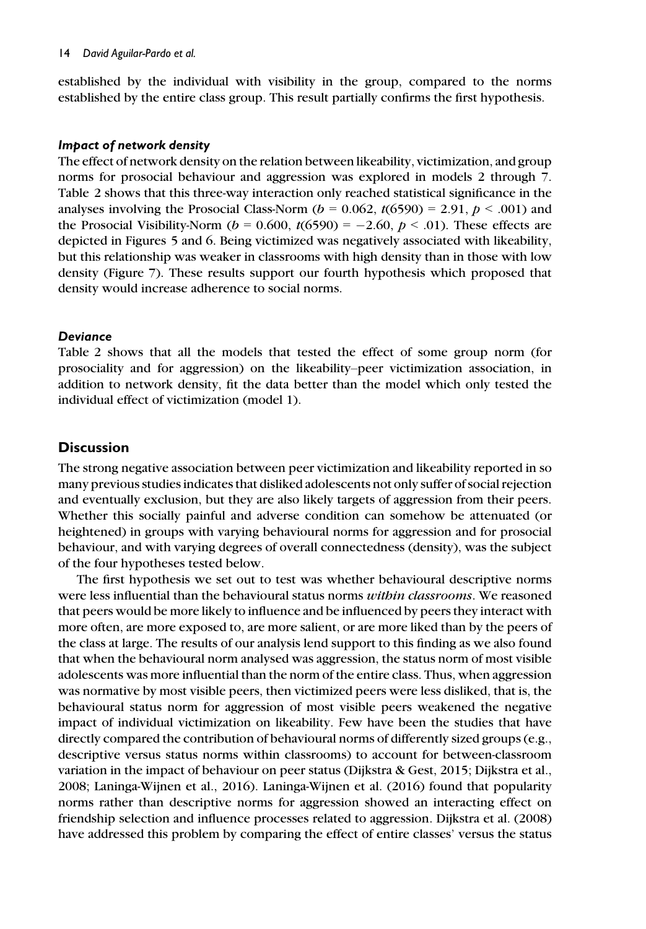established by the individual with visibility in the group, compared to the norms established by the entire class group. This result partially confirms the first hypothesis.

### Impact of network density

The effect of network density on the relation between likeability, victimization, and group norms for prosocial behaviour and aggression was explored in models 2 through 7. Table 2 shows that this three-way interaction only reached statistical significance in the analyses involving the Prosocial Class-Norm ( $b = 0.062$ ,  $t(6590) = 2.91$ ,  $p < .001$ ) and the Prosocial Visibility-Norm ( $b = 0.600$ ,  $t(6590) = -2.60$ ,  $p < .01$ ). These effects are depicted in Figures 5 and 6. Being victimized was negatively associated with likeability, but this relationship was weaker in classrooms with high density than in those with low density (Figure 7). These results support our fourth hypothesis which proposed that density would increase adherence to social norms.

## **Deviance**

Table 2 shows that all the models that tested the effect of some group norm (for prosociality and for aggression) on the likeability–peer victimization association, in addition to network density, fit the data better than the model which only tested the individual effect of victimization (model 1).

## **Discussion**

The strong negative association between peer victimization and likeability reported in so many previous studies indicates that disliked adolescents not only suffer of social rejection and eventually exclusion, but they are also likely targets of aggression from their peers. Whether this socially painful and adverse condition can somehow be attenuated (or heightened) in groups with varying behavioural norms for aggression and for prosocial behaviour, and with varying degrees of overall connectedness (density), was the subject of the four hypotheses tested below.

The first hypothesis we set out to test was whether behavioural descriptive norms were less influential than the behavioural status norms *within classrooms*. We reasoned that peers would be more likely to influence and be influenced by peers they interact with more often, are more exposed to, are more salient, or are more liked than by the peers of the class at large. The results of our analysis lend support to this finding as we also found that when the behavioural norm analysed was aggression, the status norm of most visible adolescents was more influential than the norm of the entire class. Thus, when aggression was normative by most visible peers, then victimized peers were less disliked, that is, the behavioural status norm for aggression of most visible peers weakened the negative impact of individual victimization on likeability. Few have been the studies that have directly compared the contribution of behavioural norms of differently sized groups (e.g., descriptive versus status norms within classrooms) to account for between-classroom variation in the impact of behaviour on peer status (Dijkstra & Gest, 2015; Dijkstra et al., 2008; Laninga-Wijnen et al., 2016). Laninga-Wijnen et al. (2016) found that popularity norms rather than descriptive norms for aggression showed an interacting effect on friendship selection and influence processes related to aggression. Dijkstra et al. (2008) have addressed this problem by comparing the effect of entire classes' versus the status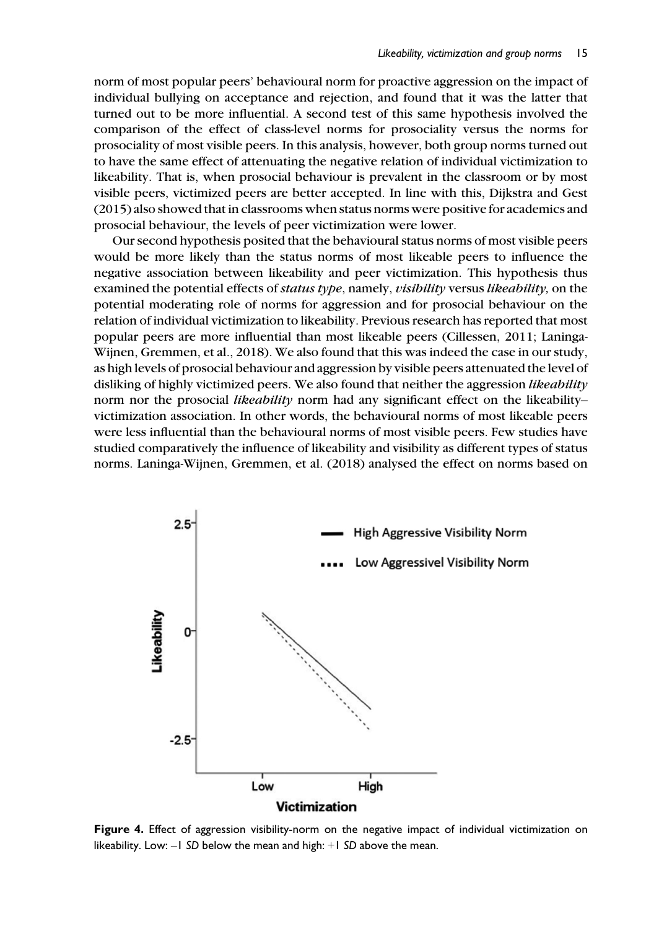norm of most popular peers' behavioural norm for proactive aggression on the impact of individual bullying on acceptance and rejection, and found that it was the latter that turned out to be more influential. A second test of this same hypothesis involved the comparison of the effect of class-level norms for prosociality versus the norms for prosociality of most visible peers. In this analysis, however, both group norms turned out to have the same effect of attenuating the negative relation of individual victimization to likeability. That is, when prosocial behaviour is prevalent in the classroom or by most visible peers, victimized peers are better accepted. In line with this, Dijkstra and Gest (2015) also showed that in classrooms when status norms were positive for academics and prosocial behaviour, the levels of peer victimization were lower.

Our second hypothesis posited that the behavioural status norms of most visible peers would be more likely than the status norms of most likeable peers to influence the negative association between likeability and peer victimization. This hypothesis thus examined the potential effects of *status type*, namely, *visibility* versus *likeability*, on the potential moderating role of norms for aggression and for prosocial behaviour on the relation of individual victimization to likeability. Previous research has reported that most popular peers are more influential than most likeable peers (Cillessen, 2011; Laninga-Wijnen, Gremmen, et al., 2018). We also found that this was indeed the case in our study, as high levels of prosocial behaviour and aggression by visible peers attenuated the level of disliking of highly victimized peers. We also found that neither the aggression likeability norm nor the prosocial *likeability* norm had any significant effect on the likeability– victimization association. In other words, the behavioural norms of most likeable peers were less influential than the behavioural norms of most visible peers. Few studies have studied comparatively the influence of likeability and visibility as different types of status norms. Laninga-Wijnen, Gremmen, et al. (2018) analysed the effect on norms based on



Figure 4. Effect of aggression visibility-norm on the negative impact of individual victimization on likeability. Low: –1 SD below the mean and high: +1 SD above the mean.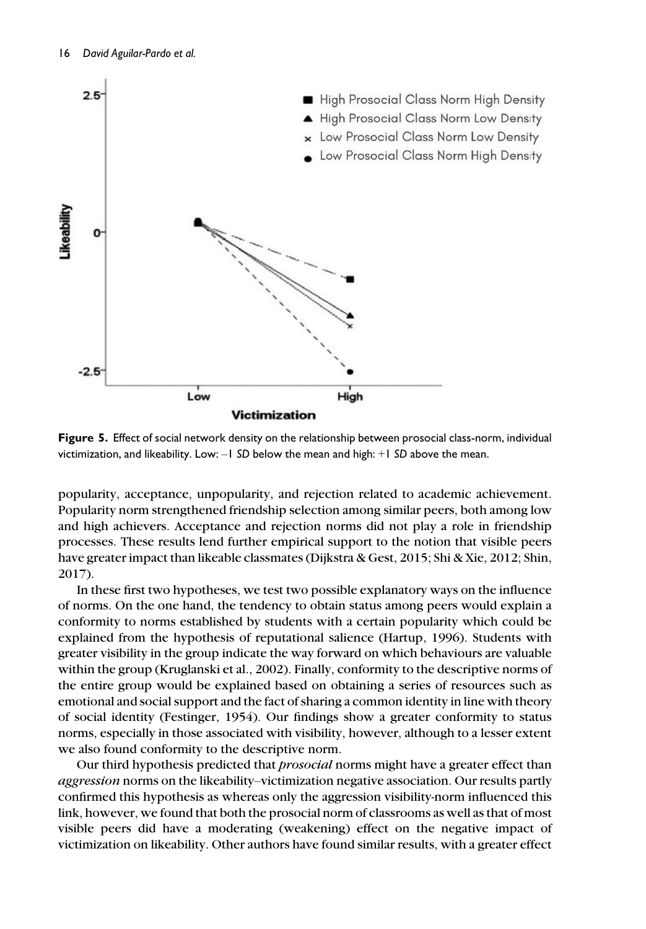

Figure 5. Effect of social network density on the relationship between prosocial class-norm, individual victimization, and likeability. Low: –1 SD below the mean and high: +1 SD above the mean.

popularity, acceptance, unpopularity, and rejection related to academic achievement. Popularity norm strengthened friendship selection among similar peers, both among low and high achievers. Acceptance and rejection norms did not play a role in friendship processes. These results lend further empirical support to the notion that visible peers have greater impact than likeable classmates (Dijkstra & Gest, 2015; Shi & Xie, 2012; Shin, 2017).

In these first two hypotheses, we test two possible explanatory ways on the influence of norms. On the one hand, the tendency to obtain status among peers would explain a conformity to norms established by students with a certain popularity which could be explained from the hypothesis of reputational salience (Hartup, 1996). Students with greater visibility in the group indicate the way forward on which behaviours are valuable within the group (Kruglanski et al., 2002). Finally, conformity to the descriptive norms of the entire group would be explained based on obtaining a series of resources such as emotional and social support and the fact of sharing a common identity in line with theory of social identity (Festinger, 1954). Our findings show a greater conformity to status norms, especially in those associated with visibility, however, although to a lesser extent we also found conformity to the descriptive norm.

Our third hypothesis predicted that *prosocial* norms might have a greater effect than aggression norms on the likeability–victimization negative association. Our results partly confirmed this hypothesis as whereas only the aggression visibility-norm influenced this link, however, we found that both the prosocial norm of classrooms as well as that of most visible peers did have a moderating (weakening) effect on the negative impact of victimization on likeability. Other authors have found similar results, with a greater effect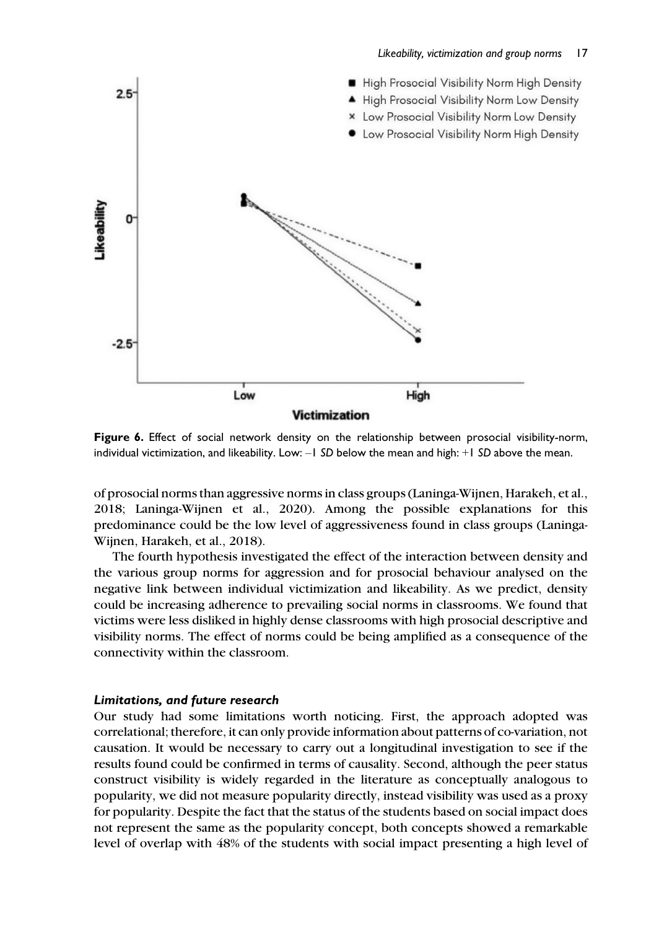#### Likeability, victimization and group norms 17



Figure 6. Effect of social network density on the relationship between prosocial visibility-norm, individual victimization, and likeability. Low:  $-1$  SD below the mean and high:  $+1$  SD above the mean.

of prosocial norms than aggressive norms in class groups (Laninga-Wijnen, Harakeh, et al., 2018; Laninga-Wijnen et al., 2020). Among the possible explanations for this predominance could be the low level of aggressiveness found in class groups (Laninga-Wijnen, Harakeh, et al., 2018).

The fourth hypothesis investigated the effect of the interaction between density and the various group norms for aggression and for prosocial behaviour analysed on the negative link between individual victimization and likeability. As we predict, density could be increasing adherence to prevailing social norms in classrooms. We found that victims were less disliked in highly dense classrooms with high prosocial descriptive and visibility norms. The effect of norms could be being amplified as a consequence of the connectivity within the classroom.

### Limitations, and future research

Our study had some limitations worth noticing. First, the approach adopted was correlational; therefore, it can only provide information about patterns of co-variation, not causation. It would be necessary to carry out a longitudinal investigation to see if the results found could be confirmed in terms of causality. Second, although the peer status construct visibility is widely regarded in the literature as conceptually analogous to popularity, we did not measure popularity directly, instead visibility was used as a proxy for popularity. Despite the fact that the status of the students based on social impact does not represent the same as the popularity concept, both concepts showed a remarkable level of overlap with 48% of the students with social impact presenting a high level of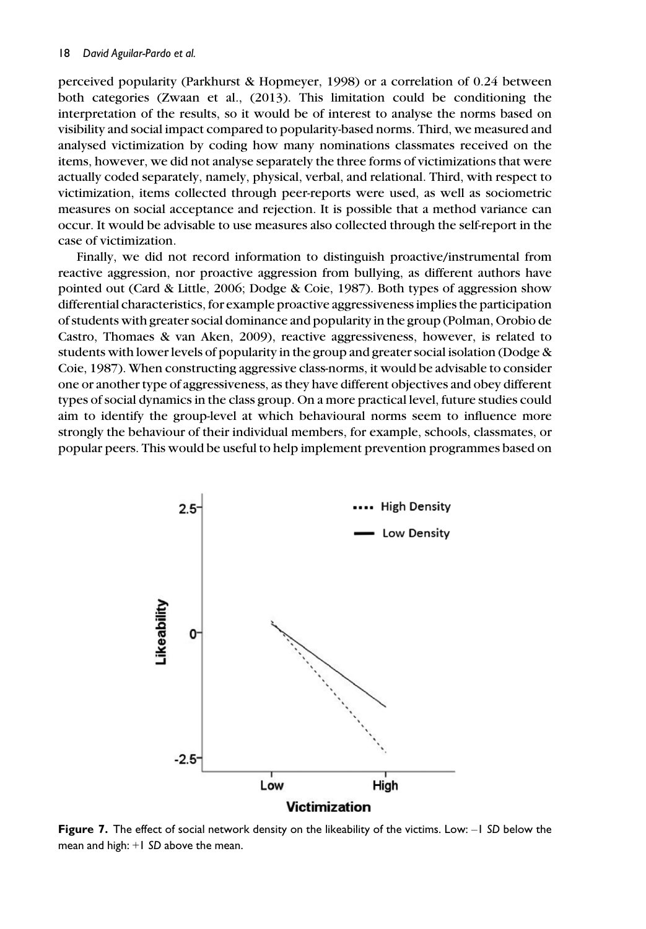perceived popularity (Parkhurst & Hopmeyer, 1998) or a correlation of 0.24 between both categories (Zwaan et al., (2013). This limitation could be conditioning the interpretation of the results, so it would be of interest to analyse the norms based on visibility and social impact compared to popularity-based norms. Third, we measured and analysed victimization by coding how many nominations classmates received on the items, however, we did not analyse separately the three forms of victimizations that were actually coded separately, namely, physical, verbal, and relational. Third, with respect to victimization, items collected through peer-reports were used, as well as sociometric measures on social acceptance and rejection. It is possible that a method variance can occur. It would be advisable to use measures also collected through the self-report in the case of victimization.

Finally, we did not record information to distinguish proactive/instrumental from reactive aggression, nor proactive aggression from bullying, as different authors have pointed out (Card & Little, 2006; Dodge & Coie, 1987). Both types of aggression show differential characteristics, for example proactive aggressiveness implies the participation of students with greater social dominance and popularity in the group (Polman, Orobio de Castro, Thomaes & van Aken, 2009), reactive aggressiveness, however, is related to students with lower levels of popularity in the group and greater social isolation (Dodge & Coie, 1987). When constructing aggressive class-norms, it would be advisable to consider one or another type of aggressiveness, as they have different objectives and obey different types of social dynamics in the class group. On a more practical level, future studies could aim to identify the group-level at which behavioural norms seem to influence more strongly the behaviour of their individual members, for example, schools, classmates, or popular peers. This would be useful to help implement prevention programmes based on



Figure 7. The effect of social network density on the likeability of the victims. Low: -1 SD below the mean and high: +1 SD above the mean.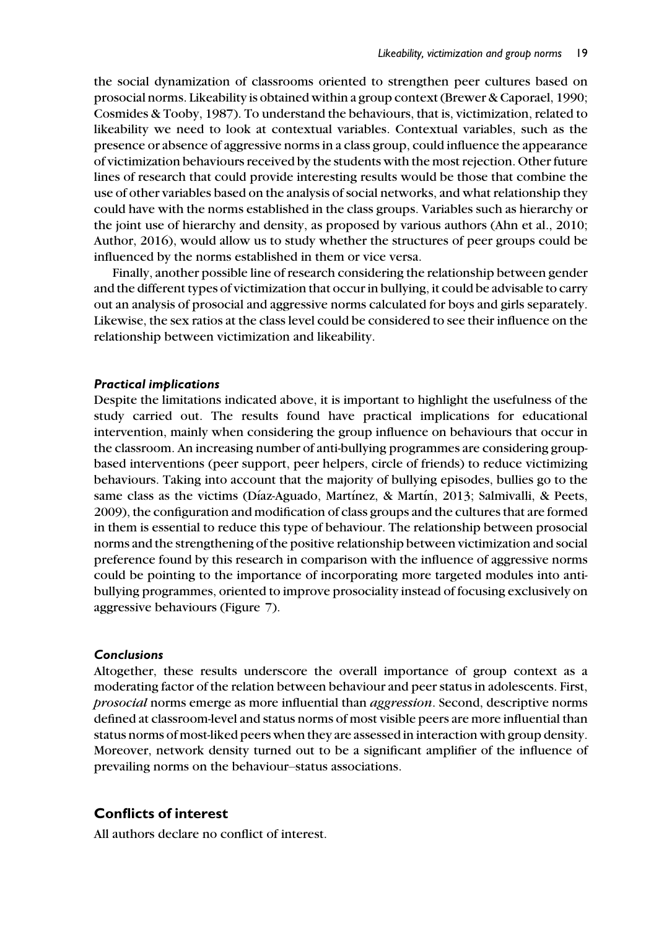the social dynamization of classrooms oriented to strengthen peer cultures based on prosocial norms. Likeability is obtained within a group context (Brewer & Caporael, 1990; Cosmides & Tooby, 1987). To understand the behaviours, that is, victimization, related to likeability we need to look at contextual variables. Contextual variables, such as the presence or absence of aggressive norms in a class group, could influence the appearance of victimization behaviours received by the students with the most rejection. Other future lines of research that could provide interesting results would be those that combine the use of other variables based on the analysis of social networks, and what relationship they could have with the norms established in the class groups. Variables such as hierarchy or the joint use of hierarchy and density, as proposed by various authors (Ahn et al., 2010; Author, 2016), would allow us to study whether the structures of peer groups could be influenced by the norms established in them or vice versa.

Finally, another possible line of research considering the relationship between gender and the different types of victimization that occur in bullying, it could be advisable to carry out an analysis of prosocial and aggressive norms calculated for boys and girls separately. Likewise, the sex ratios at the class level could be considered to see their influence on the relationship between victimization and likeability.

### Practical implications

Despite the limitations indicated above, it is important to highlight the usefulness of the study carried out. The results found have practical implications for educational intervention, mainly when considering the group influence on behaviours that occur in the classroom. An increasing number of anti-bullying programmes are considering groupbased interventions (peer support, peer helpers, circle of friends) to reduce victimizing behaviours. Taking into account that the majority of bullying episodes, bullies go to the same class as the victims (Díaz-Aguado, Martínez, & Martín, 2013; Salmivalli, & Peets, 2009), the configuration and modification of class groups and the cultures that are formed in them is essential to reduce this type of behaviour. The relationship between prosocial norms and the strengthening of the positive relationship between victimization and social preference found by this research in comparison with the influence of aggressive norms could be pointing to the importance of incorporating more targeted modules into antibullying programmes, oriented to improve prosociality instead of focusing exclusively on aggressive behaviours (Figure 7).

#### Conclusions

Altogether, these results underscore the overall importance of group context as a moderating factor of the relation between behaviour and peer status in adolescents. First, prosocial norms emerge as more influential than aggression. Second, descriptive norms defined at classroom-level and status norms of most visible peers are more influential than status norms of most-liked peers when they are assessed in interaction with group density. Moreover, network density turned out to be a significant amplifier of the influence of prevailing norms on the behaviour–status associations.

## Conflicts of interest

All authors declare no conflict of interest.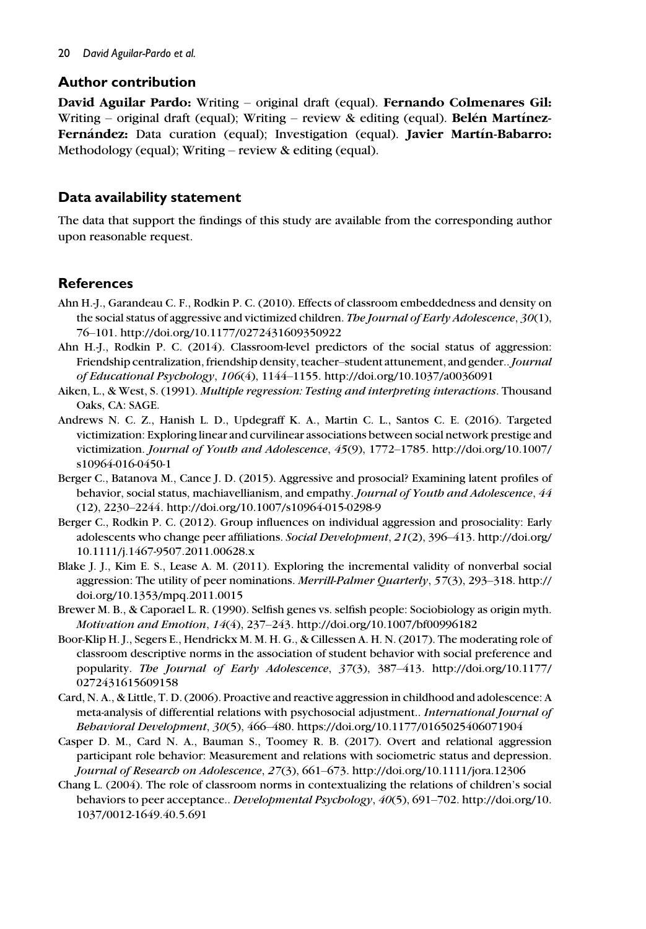## Author contribution

David Aguilar Pardo: Writing – original draft (equal). Fernando Colmenares Gil: Writing – original draft (equal); Writing – review  $\&$  editing (equal). **Belén Martínez-**Fernández: Data curation (equal); Investigation (equal). Javier Martín-Babarro: Methodology (equal); Writing – review & editing (equal).

## Data availability statement

The data that support the findings of this study are available from the corresponding author upon reasonable request.

## **References**

- Ahn H.-J., Garandeau C. F., Rodkin P. C. (2010). Effects of classroom embeddedness and density on the social status of aggressive and victimized children. The Journal of Early Adolescence, 30(1), 76–101.<http://doi.org/10.1177/0272431609350922>
- Ahn H.-J., Rodkin P. C. (2014). Classroom-level predictors of the social status of aggression: Friendship centralization, friendship density, teacher–student attunement, and gender..Journal of Educational Psychology, 106(4), 1144–1155.<http://doi.org/10.1037/a0036091>
- Aiken, L., & West, S. (1991). Multiple regression: Testing and interpreting interactions. Thousand Oaks, CA: SAGE.
- Andrews N. C. Z., Hanish L. D., Updegraff K. A., Martin C. L., Santos C. E. (2016). Targeted victimization: Exploring linear and curvilinear associations between social network prestige and victimization. Journal of Youth and Adolescence, 45(9), 1772–1785. [http://doi.org/10.1007/](http://doi.org/10.1007/s10964-016-0450-1) [s10964-016-0450-1](http://doi.org/10.1007/s10964-016-0450-1)
- Berger C., Batanova M., Cance J. D. (2015). Aggressive and prosocial? Examining latent profiles of behavior, social status, machiavellianism, and empathy. Journal of Youth and Adolescence, 44 (12), 2230–2244.<http://doi.org/10.1007/s10964-015-0298-9>
- Berger C., Rodkin P. C. (2012). Group influences on individual aggression and prosociality: Early adolescents who change peer affiliations. Social Development, 21(2), 396–413. [http://doi.org/](http://doi.org/10.1111/j.1467-9507.2011.00628.x) [10.1111/j.1467-9507.2011.00628.x](http://doi.org/10.1111/j.1467-9507.2011.00628.x)
- Blake J. J., Kim E. S., Lease A. M. (2011). Exploring the incremental validity of nonverbal social aggression: The utility of peer nominations. Merrill-Palmer Quarterly, 57(3), 293–318. [http://](http://doi.org/10.1353/mpq.2011.0015) [doi.org/10.1353/mpq.2011.0015](http://doi.org/10.1353/mpq.2011.0015)
- Brewer M. B., & Caporael L. R. (1990). Selfish genes vs. selfish people: Sociobiology as origin myth. Motivation and Emotion, 14(4), 237–243.<http://doi.org/10.1007/bf00996182>
- Boor-Klip H. J., Segers E., Hendrickx M. M. H. G., & Cillessen A. H. N. (2017). The moderating role of classroom descriptive norms in the association of student behavior with social preference and popularity. The Journal of Early Adolescence, 37(3), 387–413. [http://doi.org/10.1177/](http://doi.org/10.1177/0272431615609158) [0272431615609158](http://doi.org/10.1177/0272431615609158)
- Card, N. A., & Little, T. D. (2006). Proactive and reactive aggression in childhood and adolescence: A meta-analysis of differential relations with psychosocial adjustment.. International Journal of Behavioral Development, 30(5), 466–480.<https://doi.org/10.1177/0165025406071904>
- Casper D. M., Card N. A., Bauman S., Toomey R. B. (2017). Overt and relational aggression participant role behavior: Measurement and relations with sociometric status and depression. Journal of Research on Adolescence, 27(3), 661–673.<http://doi.org/10.1111/jora.12306>
- Chang L. (2004). The role of classroom norms in contextualizing the relations of children's social behaviors to peer acceptance.. Developmental Psychology, 40(5), 691–702. [http://doi.org/10.](http://doi.org/10.1037/0012-1649.40.5.691) [1037/0012-1649.40.5.691](http://doi.org/10.1037/0012-1649.40.5.691)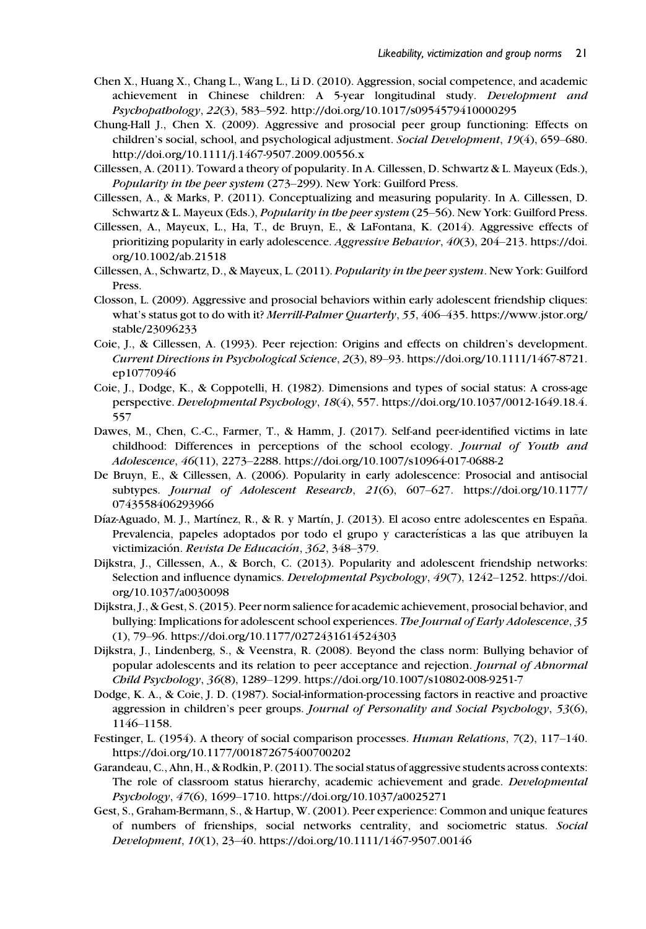- Chen X., Huang X., Chang L., Wang L., Li D. (2010). Aggression, social competence, and academic achievement in Chinese children: A 5-year longitudinal study. Development and Psychopathology, 22(3), 583–592.<http://doi.org/10.1017/s0954579410000295>
- Chung-Hall J., Chen X. (2009). Aggressive and prosocial peer group functioning: Effects on children's social, school, and psychological adjustment. Social Development, 19(4), 659–680. <http://doi.org/10.1111/j.1467-9507.2009.00556.x>
- Cillessen, A. (2011). Toward a theory of popularity. In A. Cillessen, D. Schwartz & L. Mayeux (Eds.), Popularity in the peer system (273–299). New York: Guilford Press.
- Cillessen, A., & Marks, P. (2011). Conceptualizing and measuring popularity. In A. Cillessen, D. Schwartz & L. Mayeux (Eds.), Popularity in the peer system (25–56). New York: Guilford Press.
- Cillessen, A., Mayeux, L., Ha, T., de Bruyn, E., & LaFontana, K. (2014). Aggressive effects of prioritizing popularity in early adolescence. Aggressive Behavior, 40(3), 204–213. [https://doi.](https://doi.org/10.1002/ab.21518) [org/10.1002/ab.21518](https://doi.org/10.1002/ab.21518)
- Cillessen, A., Schwartz, D., & Mayeux, L. (2011). Popularity in the peer system. New York: Guilford Press.
- Closson, L. (2009). Aggressive and prosocial behaviors within early adolescent friendship cliques: what's status got to do with it? Merrill-Palmer Quarterly, 55, 406–435. [https://www.jstor.org/](https://www.jstor.org/stable/23096233) [stable/23096233](https://www.jstor.org/stable/23096233)
- Coie, J., & Cillessen, A. (1993). Peer rejection: Origins and effects on children's development. Current Directions in Psychological Science, 2(3), 89–93. [https://doi.org/10.1111/1467-8721.](https://doi.org/10.1111/1467-8721.ep10770946) [ep10770946](https://doi.org/10.1111/1467-8721.ep10770946)
- Coie, J., Dodge, K., & Coppotelli, H. (1982). Dimensions and types of social status: A cross-age perspective. Developmental Psychology, 18(4), 557. [https://doi.org/10.1037/0012-1649.18.4.](https://doi.org/10.1037/0012-1649.18.4.557) [557](https://doi.org/10.1037/0012-1649.18.4.557)
- Dawes, M., Chen, C.-C., Farmer, T., & Hamm, J. (2017). Self-and peer-identified victims in late childhood: Differences in perceptions of the school ecology. Journal of Youth and Adolescence, 46(11), 2273–2288.<https://doi.org/10.1007/s10964-017-0688-2>
- De Bruyn, E., & Cillessen, A. (2006). Popularity in early adolescence: Prosocial and antisocial subtypes. Journal of Adolescent Research, 21(6), 607–627. [https://doi.org/10.1177/](https://doi.org/10.1177/0743558406293966) [0743558406293966](https://doi.org/10.1177/0743558406293966)
- Díaz-Aguado, M. J., Martínez, R., & R. y Martín, J. (2013). El acoso entre adolescentes en España. Prevalencia, papeles adoptados por todo el grupo y características a las que atribuyen la victimización. Revista De Educación, 362, 348-379.
- Dijkstra, J., Cillessen, A., & Borch, C. (2013). Popularity and adolescent friendship networks: Selection and influence dynamics. Developmental Psychology, 49(7), 1242–1252. [https://doi.](https://doi.org/10.1037/a0030098) [org/10.1037/a0030098](https://doi.org/10.1037/a0030098)
- Dijkstra, J., & Gest, S. (2015). Peer norm salience for academic achievement, prosocial behavior, and bullying: Implications for adolescent school experiences. The Journal of Early Adolescence, 35 (1), 79–96.<https://doi.org/10.1177/0272431614524303>
- Dijkstra, J., Lindenberg, S., & Veenstra, R. (2008). Beyond the class norm: Bullying behavior of popular adolescents and its relation to peer acceptance and rejection. Journal of Abnormal Child Psychology, 36(8), 1289–1299.<https://doi.org/10.1007/s10802-008-9251-7>
- Dodge, K. A., & Coie, J. D. (1987). Social-information-processing factors in reactive and proactive aggression in children's peer groups. Journal of Personality and Social Psychology, 53(6), 1146–1158.
- Festinger, L. (1954). A theory of social comparison processes. Human Relations, 7(2), 117–140. <https://doi.org/10.1177/001872675400700202>
- Garandeau, C., Ahn, H., & Rodkin, P. (2011). The social status of aggressive students across contexts: The role of classroom status hierarchy, academic achievement and grade. Developmental Psychology, 47(6), 1699–1710.<https://doi.org/10.1037/a0025271>
- Gest, S., Graham-Bermann, S., & Hartup, W. (2001). Peer experience: Common and unique features of numbers of frienships, social networks centrality, and sociometric status. Social Development, 10(1), 23–40.<https://doi.org/10.1111/1467-9507.00146>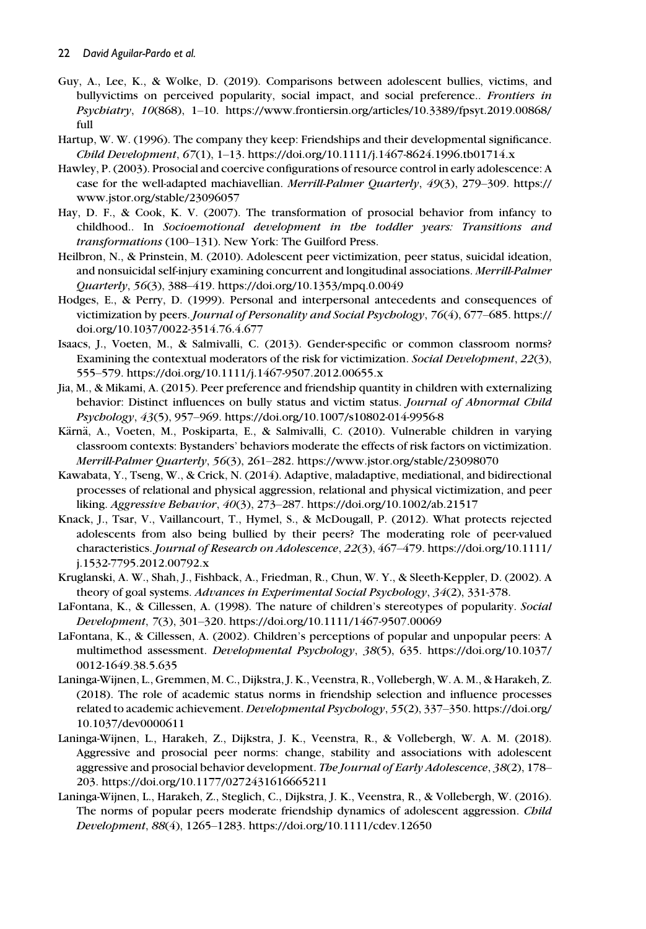- Guy, A., Lee, K., & Wolke, D. (2019). Comparisons between adolescent bullies, victims, and bullyvictims on perceived popularity, social impact, and social preference.. Frontiers in Psychiatry, 10(868), 1–10. [https://www.frontiersin.org/articles/10.3389/fpsyt.2019.00868/](https://www.frontiersin.org/articles/10.3389/fpsyt.2019.00868/full) [full](https://www.frontiersin.org/articles/10.3389/fpsyt.2019.00868/full)
- Hartup, W. W. (1996). The company they keep: Friendships and their developmental significance. Child Development, 67(1), 1–13.<https://doi.org/10.1111/j.1467-8624.1996.tb01714.x>
- Hawley, P. (2003). Prosocial and coercive configurations of resource control in early adolescence: A case for the well-adapted machiavellian. Merrill-Palmer Quarterly, 49(3), 279–309. [https://](https://www.jstor.org/stable/23096057) [www.jstor.org/stable/23096057](https://www.jstor.org/stable/23096057)
- Hay, D. F., & Cook, K. V. (2007). The transformation of prosocial behavior from infancy to childhood.. In Socioemotional development in the toddler years: Transitions and transformations (100–131). New York: The Guilford Press.
- Heilbron, N., & Prinstein, M. (2010). Adolescent peer victimization, peer status, suicidal ideation, and nonsuicidal self-injury examining concurrent and longitudinal associations. Merrill-Palmer Quarterly, 56(3), 388–419.<https://doi.org/10.1353/mpq.0.0049>
- Hodges, E., & Perry, D. (1999). Personal and interpersonal antecedents and consequences of victimization by peers. Journal of Personality and Social Psychology, 76(4), 677–685. [https://](https://doi.org/10.1037/0022-3514.76.4.677) [doi.org/10.1037/0022-3514.76.4.677](https://doi.org/10.1037/0022-3514.76.4.677)
- Isaacs, J., Voeten, M., & Salmivalli, C. (2013). Gender-specific or common classroom norms? Examining the contextual moderators of the risk for victimization. Social Development, 22(3), 555–579.<https://doi.org/10.1111/j.1467-9507.2012.00655.x>
- Jia, M., & Mikami, A. (2015). Peer preference and friendship quantity in children with externalizing behavior: Distinct influences on bully status and victim status. Journal of Abnormal Child Psychology, 43(5), 957–969.<https://doi.org/10.1007/s10802-014-9956-8>
- Kärnä, A., Voeten, M., Poskiparta, E., & Salmivalli, C. (2010). Vulnerable children in varying classroom contexts: Bystanders' behaviors moderate the effects of risk factors on victimization. Merrill-Palmer Quarterly, 56(3), 261–282.<https://www.jstor.org/stable/23098070>
- Kawabata, Y., Tseng, W., & Crick, N. (2014). Adaptive, maladaptive, mediational, and bidirectional processes of relational and physical aggression, relational and physical victimization, and peer liking. Aggressive Behavior, 40(3), 273–287.<https://doi.org/10.1002/ab.21517>
- Knack, J., Tsar, V., Vaillancourt, T., Hymel, S., & McDougall, P. (2012). What protects rejected adolescents from also being bullied by their peers? The moderating role of peer-valued characteristics. Journal of Research on Adolescence, 22(3), 467–479. [https://doi.org/10.1111/](https://doi.org/10.1111/j.1532-7795.2012.00792.x) [j.1532-7795.2012.00792.x](https://doi.org/10.1111/j.1532-7795.2012.00792.x)
- Kruglanski, A. W., Shah, J., Fishback, A., Friedman, R., Chun, W. Y., & Sleeth-Keppler, D. (2002). A theory of goal systems. Advances in Experimental Social Psychology, 34(2), 331-378.
- LaFontana, K., & Cillessen, A. (1998). The nature of children's stereotypes of popularity. Social Development, 7(3), 301–320.<https://doi.org/10.1111/1467-9507.00069>
- LaFontana, K., & Cillessen, A. (2002). Children's perceptions of popular and unpopular peers: A multimethod assessment. Developmental Psychology, 38(5), 635. [https://doi.org/10.1037/](https://doi.org/10.1037/0012-1649.38.5.635) [0012-1649.38.5.635](https://doi.org/10.1037/0012-1649.38.5.635)
- Laninga-Wijnen, L., Gremmen, M. C., Dijkstra, J. K., Veenstra, R., Vollebergh, W. A. M., & Harakeh, Z. (2018). The role of academic status norms in friendship selection and influence processes related to academic achievement. Developmental Psychology, 55(2), 337–350. [https://doi.org/](https://doi.org/10.1037/dev0000611) [10.1037/dev0000611](https://doi.org/10.1037/dev0000611)
- Laninga-Wijnen, L., Harakeh, Z., Dijkstra, J. K., Veenstra, R., & Vollebergh, W. A. M. (2018). Aggressive and prosocial peer norms: change, stability and associations with adolescent aggressive and prosocial behavior development. The Journal of Early Adolescence, 38(2), 178– 203.<https://doi.org/10.1177/0272431616665211>
- Laninga-Wijnen, L., Harakeh, Z., Steglich, C., Dijkstra, J. K., Veenstra, R., & Vollebergh, W. (2016). The norms of popular peers moderate friendship dynamics of adolescent aggression. Child Development, 88(4), 1265–1283.<https://doi.org/10.1111/cdev.12650>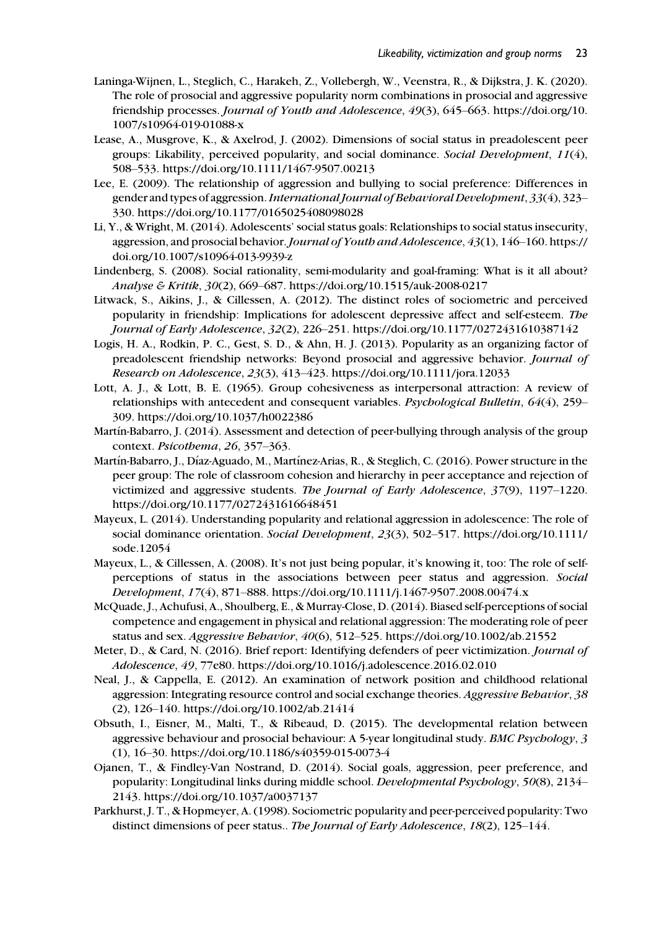- Laninga-Wijnen, L., Steglich, C., Harakeh, Z., Vollebergh, W., Veenstra, R., & Dijkstra, J. K. (2020). The role of prosocial and aggressive popularity norm combinations in prosocial and aggressive friendship processes. Journal of Youth and Adolescence, 49(3), 645–663. [https://doi.org/10.](https://doi.org/10.1007/s10964-019-01088-x) [1007/s10964-019-01088-x](https://doi.org/10.1007/s10964-019-01088-x)
- Lease, A., Musgrove, K., & Axelrod, J. (2002). Dimensions of social status in preadolescent peer groups: Likability, perceived popularity, and social dominance. Social Development, 11(4), 508–533.<https://doi.org/10.1111/1467-9507.00213>
- Lee, E. (2009). The relationship of aggression and bullying to social preference: Differences in gender and types of aggression. International Journal of Behavioral Development, 33(4), 323– 330.<https://doi.org/10.1177/0165025408098028>
- Li, Y., & Wright, M. (2014). Adolescents' social status goals: Relationships to social status insecurity, aggression, and prosocial behavior. Journal of Youth and Adolescence, 43(1), 146-160. [https://](https://doi.org/10.1007/s10964-013-9939-z) [doi.org/10.1007/s10964-013-9939-z](https://doi.org/10.1007/s10964-013-9939-z)
- Lindenberg, S. (2008). Social rationality, semi-modularity and goal-framing: What is it all about? Analyse & Kritik, 30(2), 669–687.<https://doi.org/10.1515/auk-2008-0217>
- Litwack, S., Aikins, J., & Cillessen, A. (2012). The distinct roles of sociometric and perceived popularity in friendship: Implications for adolescent depressive affect and self-esteem. The Journal of Early Adolescence, 32(2), 226–251.<https://doi.org/10.1177/0272431610387142>
- Logis, H. A., Rodkin, P. C., Gest, S. D., & Ahn, H. J. (2013). Popularity as an organizing factor of preadolescent friendship networks: Beyond prosocial and aggressive behavior. Journal of Research on Adolescence, 23(3), 413–423.<https://doi.org/10.1111/jora.12033>
- Lott, A. J., & Lott, B. E. (1965). Group cohesiveness as interpersonal attraction: A review of relationships with antecedent and consequent variables. Psychological Bulletin, 64(4), 259– 309.<https://doi.org/10.1037/h0022386>
- Martín-Babarro, J. (2014). Assessment and detection of peer-bullying through analysis of the group context. Psicothema, 26, 357–363.
- Martín-Babarro, J., Díaz-Aguado, M., Martínez-Arias, R., & Steglich, C. (2016). Power structure in the peer group: The role of classroom cohesion and hierarchy in peer acceptance and rejection of victimized and aggressive students. The Journal of Early Adolescence, 37(9), 1197-1220. <https://doi.org/10.1177/0272431616648451>
- Mayeux, L. (2014). Understanding popularity and relational aggression in adolescence: The role of social dominance orientation. Social Development, 23(3), 502–517. [https://doi.org/10.1111/](https://doi.org/10.1111/sode.12054) [sode.12054](https://doi.org/10.1111/sode.12054)
- Mayeux, L., & Cillessen, A. (2008). It's not just being popular, it's knowing it, too: The role of selfperceptions of status in the associations between peer status and aggression. Social Development, 17(4), 871–888.<https://doi.org/10.1111/j.1467-9507.2008.00474.x>
- McQuade, J., Achufusi, A., Shoulberg, E., & Murray-Close, D. (2014). Biased self-perceptions of social competence and engagement in physical and relational aggression: The moderating role of peer status and sex. Aggressive Behavior, 40(6), 512–525.<https://doi.org/10.1002/ab.21552>
- Meter, D., & Card, N. (2016). Brief report: Identifying defenders of peer victimization. Journal of Adolescence, 49, 77e80.<https://doi.org/10.1016/j.adolescence.2016.02.010>
- Neal, J., & Cappella, E. (2012). An examination of network position and childhood relational aggression: Integrating resource control and social exchange theories. Aggressive Behavior, 38 (2), 126–140.<https://doi.org/10.1002/ab.21414>
- Obsuth, I., Eisner, M., Malti, T., & Ribeaud, D. (2015). The developmental relation between aggressive behaviour and prosocial behaviour: A 5-year longitudinal study. BMC Psychology, 3 (1), 16–30.<https://doi.org/10.1186/s40359-015-0073-4>
- Ojanen, T., & Findley-Van Nostrand, D. (2014). Social goals, aggression, peer preference, and popularity: Longitudinal links during middle school. Developmental Psychology, 50(8), 2134– 2143.<https://doi.org/10.1037/a0037137>
- Parkhurst, J. T., & Hopmeyer, A. (1998). Sociometric popularity and peer-perceived popularity: Two distinct dimensions of peer status.. The Journal of Early Adolescence, 18(2), 125–144.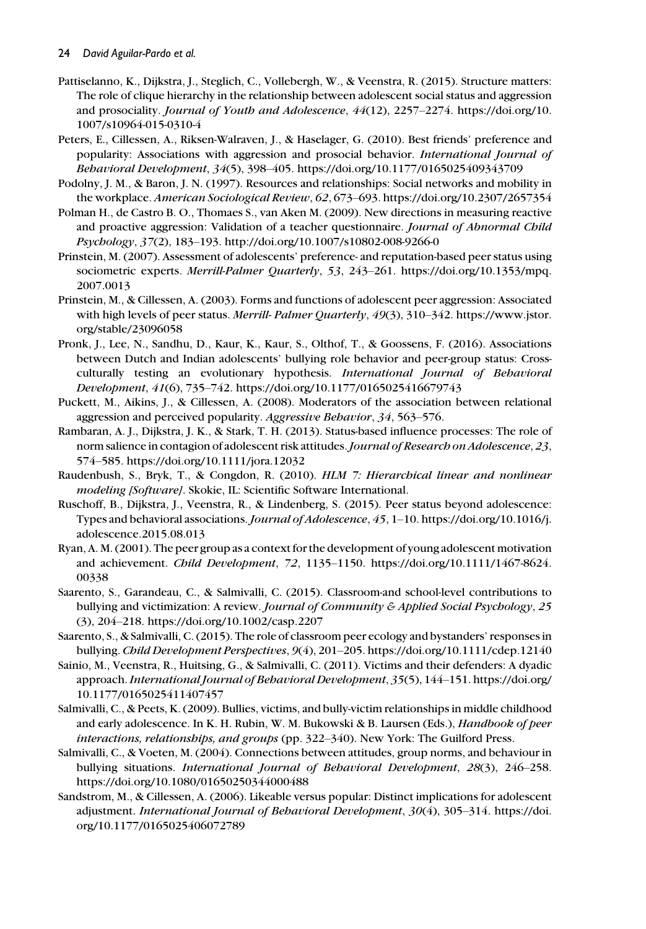- Pattiselanno, K., Dijkstra, J., Steglich, C., Vollebergh, W., & Veenstra, R. (2015). Structure matters: The role of clique hierarchy in the relationship between adolescent social status and aggression and prosociality. Journal of Youth and Adolescence, 44(12), 2257–2274. [https://doi.org/10.](https://doi.org/10.1007/s10964-015-0310-4) [1007/s10964-015-0310-4](https://doi.org/10.1007/s10964-015-0310-4)
- Peters, E., Cillessen, A., Riksen-Walraven, J., & Haselager, G. (2010). Best friends' preference and popularity: Associations with aggression and prosocial behavior. International Journal of Behavioral Development, 34(5), 398–405.<https://doi.org/10.1177/0165025409343709>
- Podolny, J. M., & Baron, J. N. (1997). Resources and relationships: Social networks and mobility in the workplace. American Sociological Review, 62, 673–693.<https://doi.org/10.2307/2657354>
- Polman H., de Castro B. O., Thomaes S., van Aken M. (2009). New directions in measuring reactive and proactive aggression: Validation of a teacher questionnaire. Journal of Abnormal Child Psychology, 37(2), 183–193.<http://doi.org/10.1007/s10802-008-9266-0>
- Prinstein, M. (2007). Assessment of adolescents' preference- and reputation-based peer status using sociometric experts. Merrill-Palmer Quarterly, 53, 243–261. [https://doi.org/10.1353/mpq.](https://doi.org/10.1353/mpq.2007.0013) [2007.0013](https://doi.org/10.1353/mpq.2007.0013)
- Prinstein, M., & Cillessen, A. (2003). Forms and functions of adolescent peer aggression: Associated with high levels of peer status. Merrill- Palmer Quarterly, 49(3), 310–342. [https://www.jstor.](https://www.jstor.org/stable/23096058) [org/stable/23096058](https://www.jstor.org/stable/23096058)
- Pronk, J., Lee, N., Sandhu, D., Kaur, K., Kaur, S., Olthof, T., & Goossens, F. (2016). Associations between Dutch and Indian adolescents' bullying role behavior and peer-group status: Crossculturally testing an evolutionary hypothesis. International Journal of Behavioral Development, 41(6), 735–742.<https://doi.org/10.1177/0165025416679743>
- Puckett, M., Aikins, J., & Cillessen, A. (2008). Moderators of the association between relational aggression and perceived popularity. Aggressive Behavior, 34, 563–576.
- Rambaran, A. J., Dijkstra, J. K., & Stark, T. H. (2013). Status-based influence processes: The role of norm salience in contagion of adolescent risk attitudes. Journal of Research on Adolescence, 23, 574–585.<https://doi.org/10.1111/jora.12032>
- Raudenbush, S., Bryk, T., & Congdon, R. (2010). HLM 7: Hierarchical linear and nonlinear modeling [Software]. Skokie, IL: Scientific Software International.
- Ruschoff, B., Dijkstra, J., Veenstra, R., & Lindenberg, S. (2015). Peer status beyond adolescence: Types and behavioral associations. Journal of Adolescence, 45, 1–10. [https://doi.org/10.1016/j.](https://doi.org/10.1016/j.adolescence.2015.08.013) [adolescence.2015.08.013](https://doi.org/10.1016/j.adolescence.2015.08.013)
- Ryan, A. M. (2001). The peer group as a context for the development of young adolescent motivation and achievement. Child Development, 72, 1135–1150. [https://doi.org/10.1111/1467-8624.](https://doi.org/10.1111/1467-8624.00338) [00338](https://doi.org/10.1111/1467-8624.00338)
- Saarento, S., Garandeau, C., & Salmivalli, C. (2015). Classroom-and school-level contributions to bullying and victimization: A review. Journal of Community & Applied Social Psychology, 25 (3), 204–218.<https://doi.org/10.1002/casp.2207>
- Saarento, S., & Salmivalli, C. (2015). The role of classroom peer ecology and bystanders' responses in bullying. Child Development Perspectives, 9(4), 201–205.<https://doi.org/10.1111/cdep.12140>
- Sainio, M., Veenstra, R., Huitsing, G., & Salmivalli, C. (2011). Victims and their defenders: A dyadic approach.International Journal of Behavioral Development, 35(5), 144–151. [https://doi.org/](https://doi.org/10.1177/0165025411407457) [10.1177/0165025411407457](https://doi.org/10.1177/0165025411407457)
- Salmivalli, C., & Peets, K. (2009). Bullies, victims, and bully-victim relationships in middle childhood and early adolescence. In K. H. Rubin, W. M. Bukowski & B. Laursen (Eds.), *Handbook of peer* interactions, relationships, and groups (pp. 322–340). New York: The Guilford Press.
- Salmivalli, C., & Voeten, M. (2004). Connections between attitudes, group norms, and behaviour in bullying situations. International Journal of Behavioral Development, 28(3), 246–258. <https://doi.org/10.1080/01650250344000488>
- Sandstrom, M., & Cillessen, A. (2006). Likeable versus popular: Distinct implications for adolescent adjustment. International Journal of Behavioral Development, 30(4), 305–314. [https://doi.](https://doi.org/10.1177/0165025406072789) [org/10.1177/0165025406072789](https://doi.org/10.1177/0165025406072789)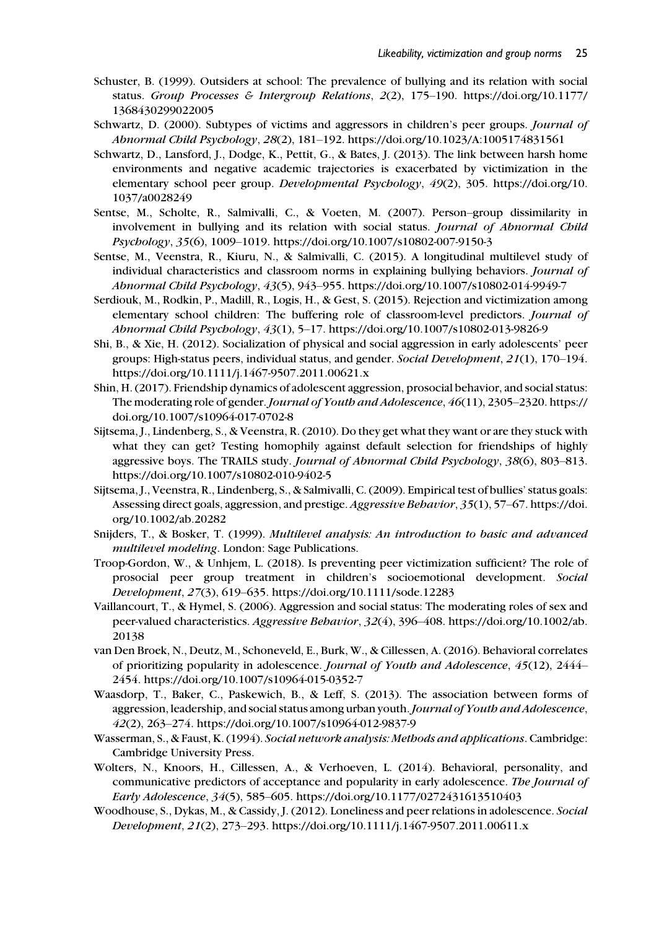- Schuster, B. (1999). Outsiders at school: The prevalence of bullying and its relation with social status. Group Processes & Intergroup Relations,  $2(2)$ , 175–190. [https://doi.org/10.1177/](https://doi.org/10.1177/1368430299022005) [1368430299022005](https://doi.org/10.1177/1368430299022005)
- Schwartz, D. (2000). Subtypes of victims and aggressors in children's peer groups. Journal of Abnormal Child Psychology, 28(2), 181–192.<https://doi.org/10.1023/A:1005174831561>
- Schwartz, D., Lansford, J., Dodge, K., Pettit, G., & Bates, J. (2013). The link between harsh home environments and negative academic trajectories is exacerbated by victimization in the elementary school peer group. Developmental Psychology, 49(2), 305. [https://doi.org/10.](https://doi.org/10.1037/a0028249) [1037/a0028249](https://doi.org/10.1037/a0028249)
- Sentse, M., Scholte, R., Salmivalli, C., & Voeten, M. (2007). Person–group dissimilarity in involvement in bullying and its relation with social status. Journal of Abnormal Child Psychology, 35(6), 1009–1019.<https://doi.org/10.1007/s10802-007-9150-3>
- Sentse, M., Veenstra, R., Kiuru, N., & Salmivalli, C. (2015). A longitudinal multilevel study of individual characteristics and classroom norms in explaining bullying behaviors. *Journal of* Abnormal Child Psychology, 43(5), 943–955.<https://doi.org/10.1007/s10802-014-9949-7>
- Serdiouk, M., Rodkin, P., Madill, R., Logis, H., & Gest, S. (2015). Rejection and victimization among elementary school children: The buffering role of classroom-level predictors. Journal of Abnormal Child Psychology, 43(1), 5–17.<https://doi.org/10.1007/s10802-013-9826-9>
- Shi, B., & Xie, H. (2012). Socialization of physical and social aggression in early adolescents' peer groups: High-status peers, individual status, and gender. Social Development, 21(1), 170–194. <https://doi.org/10.1111/j.1467-9507.2011.00621.x>
- Shin, H. (2017). Friendship dynamics of adolescent aggression, prosocial behavior, and social status: The moderating role of gender. Journal of Youth and Adolescence, 46(11), 2305–2320. [https://](https://doi.org/10.1007/s10964-017-0702-8) [doi.org/10.1007/s10964-017-0702-8](https://doi.org/10.1007/s10964-017-0702-8)
- Sijtsema, J., Lindenberg, S., & Veenstra, R. (2010). Do they get what they want or are they stuck with what they can get? Testing homophily against default selection for friendships of highly aggressive boys. The TRAILS study. Journal of Abnormal Child Psychology, 38(6), 803-813. <https://doi.org/10.1007/s10802-010-9402-5>
- Sijtsema, J., Veenstra, R., Lindenberg, S., & Salmivalli, C. (2009). Empirical test of bullies' status goals: Assessing direct goals, aggression, and prestige. Aggressive Behavior, 35(1), 57–67. [https://doi.](https://doi.org/10.1002/ab.20282) [org/10.1002/ab.20282](https://doi.org/10.1002/ab.20282)
- Snijders, T., & Bosker, T. (1999). Multilevel analysis: An introduction to basic and advanced multilevel modeling. London: Sage Publications.
- Troop-Gordon, W., & Unhjem, L. (2018). Is preventing peer victimization sufficient? The role of prosocial peer group treatment in children's socioemotional development. Social Development, 27(3), 619–635.<https://doi.org/10.1111/sode.12283>
- Vaillancourt, T., & Hymel, S. (2006). Aggression and social status: The moderating roles of sex and peer-valued characteristics. Aggressive Behavior, 32(4), 396–408. [https://doi.org/10.1002/ab.](https://doi.org/10.1002/ab.20138) [20138](https://doi.org/10.1002/ab.20138)
- van Den Broek, N., Deutz, M., Schoneveld, E., Burk, W., & Cillessen, A. (2016). Behavioral correlates of prioritizing popularity in adolescence. Journal of Youth and Adolescence, 45(12), 2444– 2454.<https://doi.org/10.1007/s10964-015-0352-7>
- Waasdorp, T., Baker, C., Paskewich, B., & Leff, S. (2013). The association between forms of aggression, leadership, and social status among urban youth. Journal of Youth and Adolescence, 42(2), 263–274.<https://doi.org/10.1007/s10964-012-9837-9>
- Wasserman, S., & Faust, K. (1994). Social network analysis: Methods and applications. Cambridge: Cambridge University Press.
- Wolters, N., Knoors, H., Cillessen, A., & Verhoeven, L. (2014). Behavioral, personality, and communicative predictors of acceptance and popularity in early adolescence. The Journal of Early Adolescence, 34(5), 585–605.<https://doi.org/10.1177/0272431613510403>
- Woodhouse, S., Dykas, M., & Cassidy, J. (2012). Loneliness and peer relations in adolescence. Social Development, 21(2), 273–293.<https://doi.org/10.1111/j.1467-9507.2011.00611.x>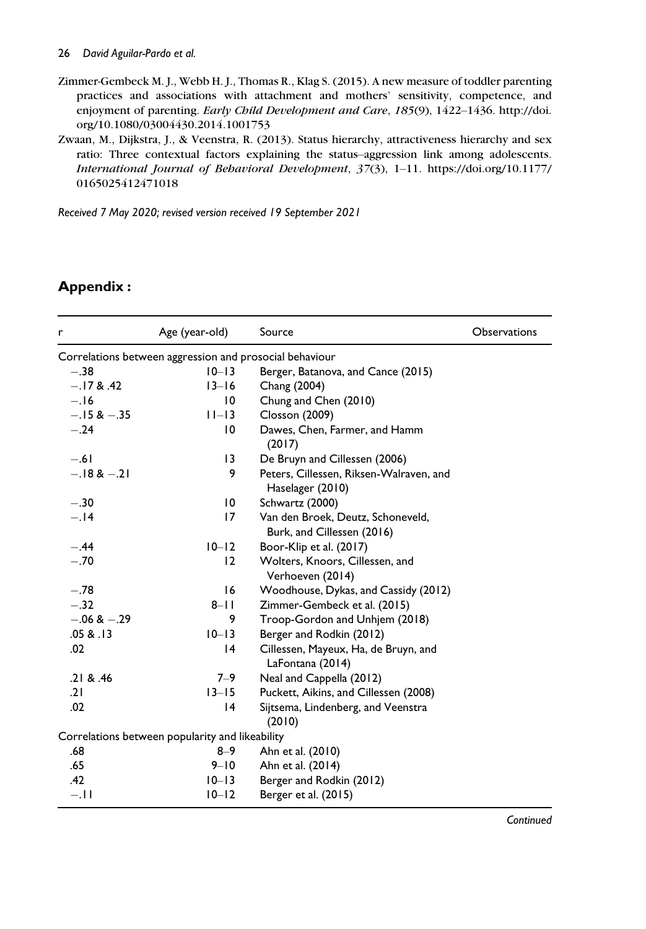Zimmer-Gembeck M. J., Webb H. J., Thomas R., Klag S. (2015). A new measure of toddler parenting practices and associations with attachment and mothers' sensitivity, competence, and enjoyment of parenting. Early Child Development and Care, 185(9), 1422–1436. [http://doi.](http://doi.org/10.1080/03004430.2014.1001753) [org/10.1080/03004430.2014.1001753](http://doi.org/10.1080/03004430.2014.1001753)

Zwaan, M., Dijkstra, J., & Veenstra, R. (2013). Status hierarchy, attractiveness hierarchy and sex ratio: Three contextual factors explaining the status–aggression link among adolescents. International Journal of Behavioral Development, 37(3), 1–11. [https://doi.org/10.1177/](https://doi.org/10.1177/0165025412471018) [0165025412471018](https://doi.org/10.1177/0165025412471018)

Received 7 May 2020; revised version received 19 September 2021

## Appendix :

| r              | Age (year-old)                                          | Source                                                          | <b>Observations</b> |
|----------------|---------------------------------------------------------|-----------------------------------------------------------------|---------------------|
|                | Correlations between aggression and prosocial behaviour |                                                                 |                     |
| $-.38$         | $10 - 13$                                               | Berger, Batanova, and Cance (2015)                              |                     |
| $-.17 & 0.42$  | $13 - 16$                                               | Chang (2004)                                                    |                     |
| $-.16$         | $\overline{0}$                                          | Chung and Chen (2010)                                           |                     |
| $-.15 & - .35$ | $11-13$                                                 | Closson (2009)                                                  |                     |
| $-.24$         | $\overline{0}$                                          | Dawes, Chen, Farmer, and Hamm<br>(2017)                         |                     |
| $-.61$         | 13                                                      | De Bruyn and Cillessen (2006)                                   |                     |
| $-.18 & -.21$  | 9                                                       | Peters, Cillessen, Riksen-Walraven, and<br>Haselager (2010)     |                     |
| $-.30$         | 10                                                      | Schwartz (2000)                                                 |                     |
| $-.14$         | 17                                                      | Van den Broek, Deutz, Schoneveld,<br>Burk, and Cillessen (2016) |                     |
| $-.44$         | $10 - 12$                                               | Boor-Klip et al. (2017)                                         |                     |
| $-.70$         | 12                                                      | Wolters, Knoors, Cillessen, and<br>Verhoeven (2014)             |                     |
| $-.78$         | 16                                                      | Woodhouse, Dykas, and Cassidy (2012)                            |                     |
| $-.32$         | $8 - 11$                                                | Zimmer-Gembeck et al. (2015)                                    |                     |
| $-.06 & -.29$  | 9                                                       | Troop-Gordon and Unhjem (2018)                                  |                     |
| .05 & 0.13     | $10 - 13$                                               | Berger and Rodkin (2012)                                        |                     |
| .02            | $\overline{14}$                                         | Cillessen, Mayeux, Ha, de Bruyn, and<br>LaFontana (2014)        |                     |
| .21 & 8.46     | $7 - 9$                                                 | Neal and Cappella (2012)                                        |                     |
| .21            | $13 - 15$                                               | Puckett, Aikins, and Cillessen (2008)                           |                     |
| .02            | 4                                                       | Sijtsema, Lindenberg, and Veenstra<br>(2010)                    |                     |
|                | Correlations between popularity and likeability         |                                                                 |                     |
| .68            | $8 - 9$                                                 | Ahn et al. (2010)                                               |                     |
| .65            | $9 - 10$                                                | Ahn et al. (2014)                                               |                     |
| .42            | $10 - 13$                                               | Berger and Rodkin (2012)                                        |                     |
| $-.11$         | $10 - 12$                                               | Berger et al. (2015)                                            |                     |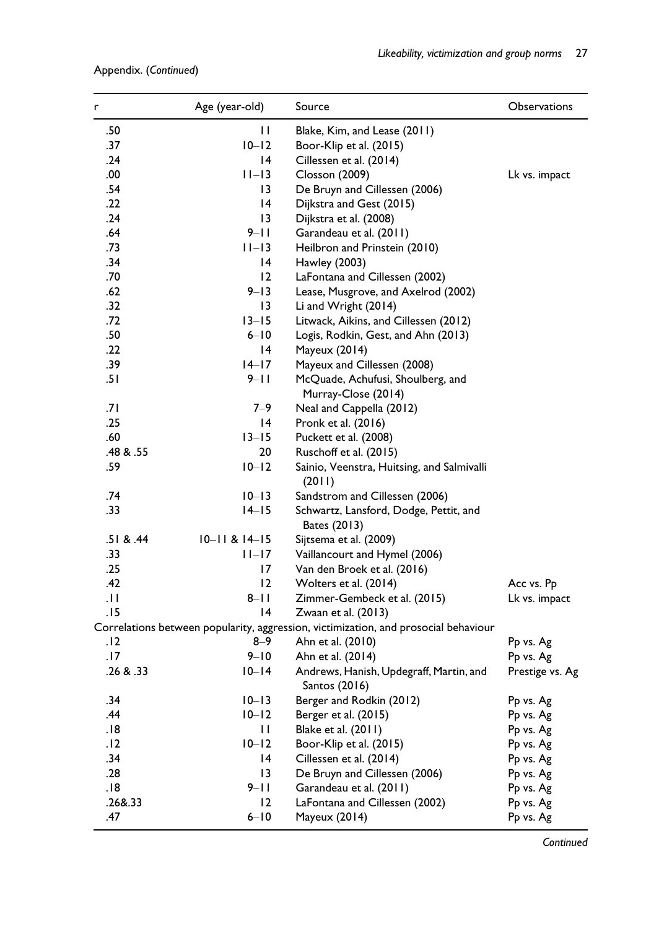| .50<br>П<br>Blake, Kim, and Lease (2011)<br>.37<br>$10 - 12$<br>Boor-Klip et al. (2015)<br>.24<br>14<br>Cillessen et al. (2014)<br>.00<br>$11-13$<br><b>Closson</b> (2009)<br>Lk vs. impact<br>.54<br>13<br>De Bruyn and Cillessen (2006)<br>.22<br> 4<br>Dijkstra and Gest (2015)<br>.24<br>$\overline{13}$<br>Dijkstra et al. (2008)<br>.64<br>$9 - 11$<br>Garandeau et al. (2011)<br>.73<br>$11-13$<br>Heilbron and Prinstein (2010)<br>.34<br> 4<br>Hawley (2003)<br>.70<br>12<br>LaFontana and Cillessen (2002)<br>.62<br>$9 - 13$<br>Lease, Musgrove, and Axelrod (2002)<br>.32<br>13<br>Li and Wright (2014)<br>.72<br>$13 - 15$<br>Litwack, Aikins, and Cillessen (2012)<br>.50<br>$6 - 10$<br>Logis, Rodkin, Gest, and Ahn (2013)<br>.22<br>14<br>Mayeux (2014)<br>.39<br>$14 - 17$<br>Mayeux and Cillessen (2008)<br>.51<br>$9 - 11$<br>McQuade, Achufusi, Shoulberg, and<br>Murray-Close (2014)<br>.71<br>$7 - 9$<br>Neal and Cappella (2012)<br>.25<br>14<br>Pronk et al. (2016)<br>.60<br>$13 - 15$<br>Puckett et al. (2008)<br>.48 & .55<br>20<br>Ruschoff et al. (2015)<br>.59<br>$10 - 12$<br>Sainio, Veenstra, Huitsing, and Salmivalli<br>(2011)<br>.74<br>$10 - 13$<br>Sandstrom and Cillessen (2006)<br>.33<br>$14-15$<br>Schwartz, Lansford, Dodge, Pettit, and<br>Bates (2013)<br>.51 & 8.44<br>$10 - 11 & 814 - 15$<br>Sijtsema et al. (2009)<br>.33<br>Vaillancourt and Hymel (2006)<br>$ I -17$<br>.25<br>17<br>Van den Broek et al. (2016)<br>.42<br>12<br>Wolters et al. (2014)<br>Acc vs. Pp<br>$\overline{11}$<br>$8 - 11$<br>Zimmer-Gembeck et al. (2015)<br>Lk vs. impact<br> 4<br>.15<br>Zwaan et al. (2013)<br>Correlations between popularity, aggression, victimization, and prosocial behaviour<br>$8 - 9$<br>. 12<br>Ahn et al. (2010)<br>Pp vs. Ag<br>$9 - 10$<br>.17<br>Ahn et al. (2014)<br>Pp vs. Ag<br>.26 & .33<br>$10 - 14$<br>Andrews, Hanish, Updegraff, Martin, and<br>Prestige vs. Ag<br>Santos (2016)<br>.34<br>$10 - 13$<br>Berger and Rodkin (2012)<br>Pp vs. Ag<br>.44<br>$10 - 12$<br>Berger et al. (2015)<br>Pp vs. Ag<br>.18<br>П<br>Blake et al. (2011)<br>Pp vs. Ag<br>.12<br>$10 - 12$<br>Boor-Klip et al. (2015)<br>Pp vs. Ag<br>.34<br> 4<br>Cillessen et al. (2014)<br>Pp vs. Ag<br>.28<br>13<br>De Bruyn and Cillessen (2006)<br>Pp vs. Ag<br>.18<br>$9 - 11$<br>Garandeau et al. (2011)<br>Pp vs. Ag<br>.26&.33<br>12<br>LaFontana and Cillessen (2002)<br>Pp vs. Ag<br>.47<br>$6 - 10$<br>Mayeux (2014)<br>Pp vs. Ag | r | Age (year-old) | Source | Observations |
|--------------------------------------------------------------------------------------------------------------------------------------------------------------------------------------------------------------------------------------------------------------------------------------------------------------------------------------------------------------------------------------------------------------------------------------------------------------------------------------------------------------------------------------------------------------------------------------------------------------------------------------------------------------------------------------------------------------------------------------------------------------------------------------------------------------------------------------------------------------------------------------------------------------------------------------------------------------------------------------------------------------------------------------------------------------------------------------------------------------------------------------------------------------------------------------------------------------------------------------------------------------------------------------------------------------------------------------------------------------------------------------------------------------------------------------------------------------------------------------------------------------------------------------------------------------------------------------------------------------------------------------------------------------------------------------------------------------------------------------------------------------------------------------------------------------------------------------------------------------------------------------------------------------------------------------------------------------------------------------------------------------------------------------------------------------------------------------------------------------------------------------------------------------------------------------------------------------------------------------------------------------------------------------------------------------------------------------------------------------------------------------------------------------------------------------------------------------------------------------|---|----------------|--------|--------------|
|                                                                                                                                                                                                                                                                                                                                                                                                                                                                                                                                                                                                                                                                                                                                                                                                                                                                                                                                                                                                                                                                                                                                                                                                                                                                                                                                                                                                                                                                                                                                                                                                                                                                                                                                                                                                                                                                                                                                                                                                                                                                                                                                                                                                                                                                                                                                                                                                                                                                                      |   |                |        |              |
|                                                                                                                                                                                                                                                                                                                                                                                                                                                                                                                                                                                                                                                                                                                                                                                                                                                                                                                                                                                                                                                                                                                                                                                                                                                                                                                                                                                                                                                                                                                                                                                                                                                                                                                                                                                                                                                                                                                                                                                                                                                                                                                                                                                                                                                                                                                                                                                                                                                                                      |   |                |        |              |
|                                                                                                                                                                                                                                                                                                                                                                                                                                                                                                                                                                                                                                                                                                                                                                                                                                                                                                                                                                                                                                                                                                                                                                                                                                                                                                                                                                                                                                                                                                                                                                                                                                                                                                                                                                                                                                                                                                                                                                                                                                                                                                                                                                                                                                                                                                                                                                                                                                                                                      |   |                |        |              |
|                                                                                                                                                                                                                                                                                                                                                                                                                                                                                                                                                                                                                                                                                                                                                                                                                                                                                                                                                                                                                                                                                                                                                                                                                                                                                                                                                                                                                                                                                                                                                                                                                                                                                                                                                                                                                                                                                                                                                                                                                                                                                                                                                                                                                                                                                                                                                                                                                                                                                      |   |                |        |              |
|                                                                                                                                                                                                                                                                                                                                                                                                                                                                                                                                                                                                                                                                                                                                                                                                                                                                                                                                                                                                                                                                                                                                                                                                                                                                                                                                                                                                                                                                                                                                                                                                                                                                                                                                                                                                                                                                                                                                                                                                                                                                                                                                                                                                                                                                                                                                                                                                                                                                                      |   |                |        |              |
|                                                                                                                                                                                                                                                                                                                                                                                                                                                                                                                                                                                                                                                                                                                                                                                                                                                                                                                                                                                                                                                                                                                                                                                                                                                                                                                                                                                                                                                                                                                                                                                                                                                                                                                                                                                                                                                                                                                                                                                                                                                                                                                                                                                                                                                                                                                                                                                                                                                                                      |   |                |        |              |
|                                                                                                                                                                                                                                                                                                                                                                                                                                                                                                                                                                                                                                                                                                                                                                                                                                                                                                                                                                                                                                                                                                                                                                                                                                                                                                                                                                                                                                                                                                                                                                                                                                                                                                                                                                                                                                                                                                                                                                                                                                                                                                                                                                                                                                                                                                                                                                                                                                                                                      |   |                |        |              |
|                                                                                                                                                                                                                                                                                                                                                                                                                                                                                                                                                                                                                                                                                                                                                                                                                                                                                                                                                                                                                                                                                                                                                                                                                                                                                                                                                                                                                                                                                                                                                                                                                                                                                                                                                                                                                                                                                                                                                                                                                                                                                                                                                                                                                                                                                                                                                                                                                                                                                      |   |                |        |              |
|                                                                                                                                                                                                                                                                                                                                                                                                                                                                                                                                                                                                                                                                                                                                                                                                                                                                                                                                                                                                                                                                                                                                                                                                                                                                                                                                                                                                                                                                                                                                                                                                                                                                                                                                                                                                                                                                                                                                                                                                                                                                                                                                                                                                                                                                                                                                                                                                                                                                                      |   |                |        |              |
|                                                                                                                                                                                                                                                                                                                                                                                                                                                                                                                                                                                                                                                                                                                                                                                                                                                                                                                                                                                                                                                                                                                                                                                                                                                                                                                                                                                                                                                                                                                                                                                                                                                                                                                                                                                                                                                                                                                                                                                                                                                                                                                                                                                                                                                                                                                                                                                                                                                                                      |   |                |        |              |
|                                                                                                                                                                                                                                                                                                                                                                                                                                                                                                                                                                                                                                                                                                                                                                                                                                                                                                                                                                                                                                                                                                                                                                                                                                                                                                                                                                                                                                                                                                                                                                                                                                                                                                                                                                                                                                                                                                                                                                                                                                                                                                                                                                                                                                                                                                                                                                                                                                                                                      |   |                |        |              |
|                                                                                                                                                                                                                                                                                                                                                                                                                                                                                                                                                                                                                                                                                                                                                                                                                                                                                                                                                                                                                                                                                                                                                                                                                                                                                                                                                                                                                                                                                                                                                                                                                                                                                                                                                                                                                                                                                                                                                                                                                                                                                                                                                                                                                                                                                                                                                                                                                                                                                      |   |                |        |              |
|                                                                                                                                                                                                                                                                                                                                                                                                                                                                                                                                                                                                                                                                                                                                                                                                                                                                                                                                                                                                                                                                                                                                                                                                                                                                                                                                                                                                                                                                                                                                                                                                                                                                                                                                                                                                                                                                                                                                                                                                                                                                                                                                                                                                                                                                                                                                                                                                                                                                                      |   |                |        |              |
|                                                                                                                                                                                                                                                                                                                                                                                                                                                                                                                                                                                                                                                                                                                                                                                                                                                                                                                                                                                                                                                                                                                                                                                                                                                                                                                                                                                                                                                                                                                                                                                                                                                                                                                                                                                                                                                                                                                                                                                                                                                                                                                                                                                                                                                                                                                                                                                                                                                                                      |   |                |        |              |
|                                                                                                                                                                                                                                                                                                                                                                                                                                                                                                                                                                                                                                                                                                                                                                                                                                                                                                                                                                                                                                                                                                                                                                                                                                                                                                                                                                                                                                                                                                                                                                                                                                                                                                                                                                                                                                                                                                                                                                                                                                                                                                                                                                                                                                                                                                                                                                                                                                                                                      |   |                |        |              |
|                                                                                                                                                                                                                                                                                                                                                                                                                                                                                                                                                                                                                                                                                                                                                                                                                                                                                                                                                                                                                                                                                                                                                                                                                                                                                                                                                                                                                                                                                                                                                                                                                                                                                                                                                                                                                                                                                                                                                                                                                                                                                                                                                                                                                                                                                                                                                                                                                                                                                      |   |                |        |              |
|                                                                                                                                                                                                                                                                                                                                                                                                                                                                                                                                                                                                                                                                                                                                                                                                                                                                                                                                                                                                                                                                                                                                                                                                                                                                                                                                                                                                                                                                                                                                                                                                                                                                                                                                                                                                                                                                                                                                                                                                                                                                                                                                                                                                                                                                                                                                                                                                                                                                                      |   |                |        |              |
|                                                                                                                                                                                                                                                                                                                                                                                                                                                                                                                                                                                                                                                                                                                                                                                                                                                                                                                                                                                                                                                                                                                                                                                                                                                                                                                                                                                                                                                                                                                                                                                                                                                                                                                                                                                                                                                                                                                                                                                                                                                                                                                                                                                                                                                                                                                                                                                                                                                                                      |   |                |        |              |
|                                                                                                                                                                                                                                                                                                                                                                                                                                                                                                                                                                                                                                                                                                                                                                                                                                                                                                                                                                                                                                                                                                                                                                                                                                                                                                                                                                                                                                                                                                                                                                                                                                                                                                                                                                                                                                                                                                                                                                                                                                                                                                                                                                                                                                                                                                                                                                                                                                                                                      |   |                |        |              |
|                                                                                                                                                                                                                                                                                                                                                                                                                                                                                                                                                                                                                                                                                                                                                                                                                                                                                                                                                                                                                                                                                                                                                                                                                                                                                                                                                                                                                                                                                                                                                                                                                                                                                                                                                                                                                                                                                                                                                                                                                                                                                                                                                                                                                                                                                                                                                                                                                                                                                      |   |                |        |              |
|                                                                                                                                                                                                                                                                                                                                                                                                                                                                                                                                                                                                                                                                                                                                                                                                                                                                                                                                                                                                                                                                                                                                                                                                                                                                                                                                                                                                                                                                                                                                                                                                                                                                                                                                                                                                                                                                                                                                                                                                                                                                                                                                                                                                                                                                                                                                                                                                                                                                                      |   |                |        |              |
|                                                                                                                                                                                                                                                                                                                                                                                                                                                                                                                                                                                                                                                                                                                                                                                                                                                                                                                                                                                                                                                                                                                                                                                                                                                                                                                                                                                                                                                                                                                                                                                                                                                                                                                                                                                                                                                                                                                                                                                                                                                                                                                                                                                                                                                                                                                                                                                                                                                                                      |   |                |        |              |
|                                                                                                                                                                                                                                                                                                                                                                                                                                                                                                                                                                                                                                                                                                                                                                                                                                                                                                                                                                                                                                                                                                                                                                                                                                                                                                                                                                                                                                                                                                                                                                                                                                                                                                                                                                                                                                                                                                                                                                                                                                                                                                                                                                                                                                                                                                                                                                                                                                                                                      |   |                |        |              |
|                                                                                                                                                                                                                                                                                                                                                                                                                                                                                                                                                                                                                                                                                                                                                                                                                                                                                                                                                                                                                                                                                                                                                                                                                                                                                                                                                                                                                                                                                                                                                                                                                                                                                                                                                                                                                                                                                                                                                                                                                                                                                                                                                                                                                                                                                                                                                                                                                                                                                      |   |                |        |              |
|                                                                                                                                                                                                                                                                                                                                                                                                                                                                                                                                                                                                                                                                                                                                                                                                                                                                                                                                                                                                                                                                                                                                                                                                                                                                                                                                                                                                                                                                                                                                                                                                                                                                                                                                                                                                                                                                                                                                                                                                                                                                                                                                                                                                                                                                                                                                                                                                                                                                                      |   |                |        |              |
|                                                                                                                                                                                                                                                                                                                                                                                                                                                                                                                                                                                                                                                                                                                                                                                                                                                                                                                                                                                                                                                                                                                                                                                                                                                                                                                                                                                                                                                                                                                                                                                                                                                                                                                                                                                                                                                                                                                                                                                                                                                                                                                                                                                                                                                                                                                                                                                                                                                                                      |   |                |        |              |
|                                                                                                                                                                                                                                                                                                                                                                                                                                                                                                                                                                                                                                                                                                                                                                                                                                                                                                                                                                                                                                                                                                                                                                                                                                                                                                                                                                                                                                                                                                                                                                                                                                                                                                                                                                                                                                                                                                                                                                                                                                                                                                                                                                                                                                                                                                                                                                                                                                                                                      |   |                |        |              |
|                                                                                                                                                                                                                                                                                                                                                                                                                                                                                                                                                                                                                                                                                                                                                                                                                                                                                                                                                                                                                                                                                                                                                                                                                                                                                                                                                                                                                                                                                                                                                                                                                                                                                                                                                                                                                                                                                                                                                                                                                                                                                                                                                                                                                                                                                                                                                                                                                                                                                      |   |                |        |              |
|                                                                                                                                                                                                                                                                                                                                                                                                                                                                                                                                                                                                                                                                                                                                                                                                                                                                                                                                                                                                                                                                                                                                                                                                                                                                                                                                                                                                                                                                                                                                                                                                                                                                                                                                                                                                                                                                                                                                                                                                                                                                                                                                                                                                                                                                                                                                                                                                                                                                                      |   |                |        |              |
|                                                                                                                                                                                                                                                                                                                                                                                                                                                                                                                                                                                                                                                                                                                                                                                                                                                                                                                                                                                                                                                                                                                                                                                                                                                                                                                                                                                                                                                                                                                                                                                                                                                                                                                                                                                                                                                                                                                                                                                                                                                                                                                                                                                                                                                                                                                                                                                                                                                                                      |   |                |        |              |
|                                                                                                                                                                                                                                                                                                                                                                                                                                                                                                                                                                                                                                                                                                                                                                                                                                                                                                                                                                                                                                                                                                                                                                                                                                                                                                                                                                                                                                                                                                                                                                                                                                                                                                                                                                                                                                                                                                                                                                                                                                                                                                                                                                                                                                                                                                                                                                                                                                                                                      |   |                |        |              |
|                                                                                                                                                                                                                                                                                                                                                                                                                                                                                                                                                                                                                                                                                                                                                                                                                                                                                                                                                                                                                                                                                                                                                                                                                                                                                                                                                                                                                                                                                                                                                                                                                                                                                                                                                                                                                                                                                                                                                                                                                                                                                                                                                                                                                                                                                                                                                                                                                                                                                      |   |                |        |              |
|                                                                                                                                                                                                                                                                                                                                                                                                                                                                                                                                                                                                                                                                                                                                                                                                                                                                                                                                                                                                                                                                                                                                                                                                                                                                                                                                                                                                                                                                                                                                                                                                                                                                                                                                                                                                                                                                                                                                                                                                                                                                                                                                                                                                                                                                                                                                                                                                                                                                                      |   |                |        |              |
|                                                                                                                                                                                                                                                                                                                                                                                                                                                                                                                                                                                                                                                                                                                                                                                                                                                                                                                                                                                                                                                                                                                                                                                                                                                                                                                                                                                                                                                                                                                                                                                                                                                                                                                                                                                                                                                                                                                                                                                                                                                                                                                                                                                                                                                                                                                                                                                                                                                                                      |   |                |        |              |
|                                                                                                                                                                                                                                                                                                                                                                                                                                                                                                                                                                                                                                                                                                                                                                                                                                                                                                                                                                                                                                                                                                                                                                                                                                                                                                                                                                                                                                                                                                                                                                                                                                                                                                                                                                                                                                                                                                                                                                                                                                                                                                                                                                                                                                                                                                                                                                                                                                                                                      |   |                |        |              |
|                                                                                                                                                                                                                                                                                                                                                                                                                                                                                                                                                                                                                                                                                                                                                                                                                                                                                                                                                                                                                                                                                                                                                                                                                                                                                                                                                                                                                                                                                                                                                                                                                                                                                                                                                                                                                                                                                                                                                                                                                                                                                                                                                                                                                                                                                                                                                                                                                                                                                      |   |                |        |              |
|                                                                                                                                                                                                                                                                                                                                                                                                                                                                                                                                                                                                                                                                                                                                                                                                                                                                                                                                                                                                                                                                                                                                                                                                                                                                                                                                                                                                                                                                                                                                                                                                                                                                                                                                                                                                                                                                                                                                                                                                                                                                                                                                                                                                                                                                                                                                                                                                                                                                                      |   |                |        |              |
|                                                                                                                                                                                                                                                                                                                                                                                                                                                                                                                                                                                                                                                                                                                                                                                                                                                                                                                                                                                                                                                                                                                                                                                                                                                                                                                                                                                                                                                                                                                                                                                                                                                                                                                                                                                                                                                                                                                                                                                                                                                                                                                                                                                                                                                                                                                                                                                                                                                                                      |   |                |        |              |
|                                                                                                                                                                                                                                                                                                                                                                                                                                                                                                                                                                                                                                                                                                                                                                                                                                                                                                                                                                                                                                                                                                                                                                                                                                                                                                                                                                                                                                                                                                                                                                                                                                                                                                                                                                                                                                                                                                                                                                                                                                                                                                                                                                                                                                                                                                                                                                                                                                                                                      |   |                |        |              |
|                                                                                                                                                                                                                                                                                                                                                                                                                                                                                                                                                                                                                                                                                                                                                                                                                                                                                                                                                                                                                                                                                                                                                                                                                                                                                                                                                                                                                                                                                                                                                                                                                                                                                                                                                                                                                                                                                                                                                                                                                                                                                                                                                                                                                                                                                                                                                                                                                                                                                      |   |                |        |              |
|                                                                                                                                                                                                                                                                                                                                                                                                                                                                                                                                                                                                                                                                                                                                                                                                                                                                                                                                                                                                                                                                                                                                                                                                                                                                                                                                                                                                                                                                                                                                                                                                                                                                                                                                                                                                                                                                                                                                                                                                                                                                                                                                                                                                                                                                                                                                                                                                                                                                                      |   |                |        |              |
|                                                                                                                                                                                                                                                                                                                                                                                                                                                                                                                                                                                                                                                                                                                                                                                                                                                                                                                                                                                                                                                                                                                                                                                                                                                                                                                                                                                                                                                                                                                                                                                                                                                                                                                                                                                                                                                                                                                                                                                                                                                                                                                                                                                                                                                                                                                                                                                                                                                                                      |   |                |        |              |
|                                                                                                                                                                                                                                                                                                                                                                                                                                                                                                                                                                                                                                                                                                                                                                                                                                                                                                                                                                                                                                                                                                                                                                                                                                                                                                                                                                                                                                                                                                                                                                                                                                                                                                                                                                                                                                                                                                                                                                                                                                                                                                                                                                                                                                                                                                                                                                                                                                                                                      |   |                |        |              |
|                                                                                                                                                                                                                                                                                                                                                                                                                                                                                                                                                                                                                                                                                                                                                                                                                                                                                                                                                                                                                                                                                                                                                                                                                                                                                                                                                                                                                                                                                                                                                                                                                                                                                                                                                                                                                                                                                                                                                                                                                                                                                                                                                                                                                                                                                                                                                                                                                                                                                      |   |                |        |              |
|                                                                                                                                                                                                                                                                                                                                                                                                                                                                                                                                                                                                                                                                                                                                                                                                                                                                                                                                                                                                                                                                                                                                                                                                                                                                                                                                                                                                                                                                                                                                                                                                                                                                                                                                                                                                                                                                                                                                                                                                                                                                                                                                                                                                                                                                                                                                                                                                                                                                                      |   |                |        |              |

## Appendix. (Continued)

**Continued**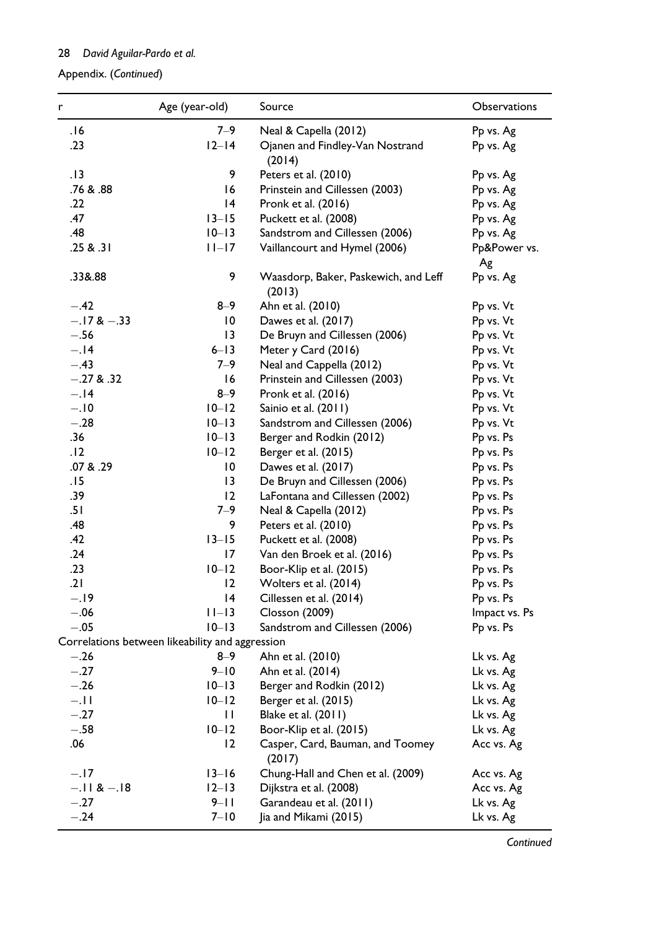1. (Continued) Appendix. (Continued)

| r              | Age (year-old)                                  | Source                                         | Observations       |
|----------------|-------------------------------------------------|------------------------------------------------|--------------------|
| 16.            | $7 - 9$                                         | Neal & Capella (2012)                          | Pp vs. Ag          |
| .23            | $12-14$                                         | Ojanen and Findley-Van Nostrand<br>(2014)      | Pp vs. Ag          |
| .13            | 9                                               | Peters et al. (2010)                           | Pp vs. Ag          |
| .76 & .88      | 16                                              | Prinstein and Cillessen (2003)                 | Pp vs. Ag          |
| .22            | 14                                              | Pronk et al. (2016)                            | Pp vs. Ag          |
| .47            | $13 - 15$                                       | Puckett et al. (2008)                          | Pp vs. Ag          |
| .48            | $10 - 13$                                       | Sandstrom and Cillessen (2006)                 | Pp vs. Ag          |
| .25 & .31      | $ I-I7 $                                        | Vaillancourt and Hymel (2006)                  | Pp&Power vs.<br>Ag |
| .33&.88        | 9                                               | Waasdorp, Baker, Paskewich, and Leff<br>(2013) | Pp vs. Ag          |
| $-.42$         | $8 - 9$                                         | Ahn et al. (2010)                              | Pp vs. Vt          |
| $-.17 & - .33$ | 10                                              | Dawes et al. (2017)                            | Pp vs. Vt          |
| $-.56$         | $\overline{13}$                                 | De Bruyn and Cillessen (2006)                  | Pp vs. Vt          |
| $-.14$         | $6 - 13$                                        | Meter y Card (2016)                            | Pp vs. Vt          |
| $-.43$         | $7 - 9$                                         | Neal and Cappella (2012)                       | Pp vs. Vt          |
| $-.27 & 0.32$  | 16                                              | Prinstein and Cillessen (2003)                 | Pp vs. Vt          |
| $-.14$         | $8 - 9$                                         | Pronk et al. (2016)                            | Pp vs. Vt          |
| $-.10$         | $10-12$                                         | Sainio et al. (2011)                           | Pp vs. Vt          |
| $-.28$         | $10 - 13$                                       | Sandstrom and Cillessen (2006)                 | Pp vs. Vt          |
| .36            | $10 - 13$                                       | Berger and Rodkin (2012)                       | Pp vs. Ps          |
| .12            | $10-12$                                         | Berger et al. (2015)                           | Pp vs. Ps          |
| .07 & .29      | $\overline{10}$                                 | Dawes et al. (2017)                            | Pp vs. Ps          |
| .15            | $\overline{13}$                                 | De Bruyn and Cillessen (2006)                  | Pp vs. Ps          |
| .39            | 12                                              | LaFontana and Cillessen (2002)                 | Pp vs. Ps          |
| .51            | $7 - 9$                                         | Neal & Capella (2012)                          | Pp vs. Ps          |
| .48            | 9                                               | Peters et al. (2010)                           | Pp vs. Ps          |
| .42            | $13 - 15$                                       | Puckett et al. (2008)                          | Pp vs. Ps          |
| .24            | 17                                              | Van den Broek et al. (2016)                    | Pp vs. Ps          |
| .23            | $10-12$                                         | Boor-Klip et al. (2015)                        | Pp vs. Ps          |
| .21            | $\overline{2}$                                  | Wolters et al. (2014)                          | Pp vs. Ps          |
| $-.19$         | 4                                               | Cillessen et al. (2014)                        | Pp vs. Ps          |
| $-.06$         | $11-13$                                         | <b>Closson (2009)</b>                          | Impact vs. Ps      |
| $-.05$         | $10 - 13$                                       | Sandstrom and Cillessen (2006)                 | Pp vs. Ps          |
|                | Correlations between likeability and aggression |                                                |                    |
| $-.26$         | 8–9                                             | Ahn et al. (2010)                              | Lk vs. Ag          |
| $-.27$         | $9 - 10$                                        | Ahn et al. (2014)                              | Lk vs. Ag          |
| $-.26$         | $10 - 13$                                       | Berger and Rodkin (2012)                       | Lk vs. Ag          |
| $-.11$         | $10-12$                                         | Berger et al. (2015)                           | Lk vs. Ag          |
| $-.27$         | П                                               | Blake et al. (2011)                            | Lk vs. Ag          |
| $-.58$         | $10 - 12$                                       | Boor-Klip et al. (2015)                        | Lk vs. Ag          |
| .06            | 12                                              | Casper, Card, Bauman, and Toomey<br>(2017)     | Acc vs. Ag         |
| $-.17$         | $13 - 16$                                       | Chung-Hall and Chen et al. (2009)              | Acc vs. Ag         |
| $-.11 & - .18$ | $12-13$                                         | Dijkstra et al. (2008)                         | Acc vs. Ag         |
| $-.27$         | $9 - 11$                                        | Garandeau et al. (2011)                        | Lk vs. Ag          |
| $-.24$         | $7 - 10$                                        | Jia and Mikami (2015)                          | Lk vs. Ag          |

**Continued**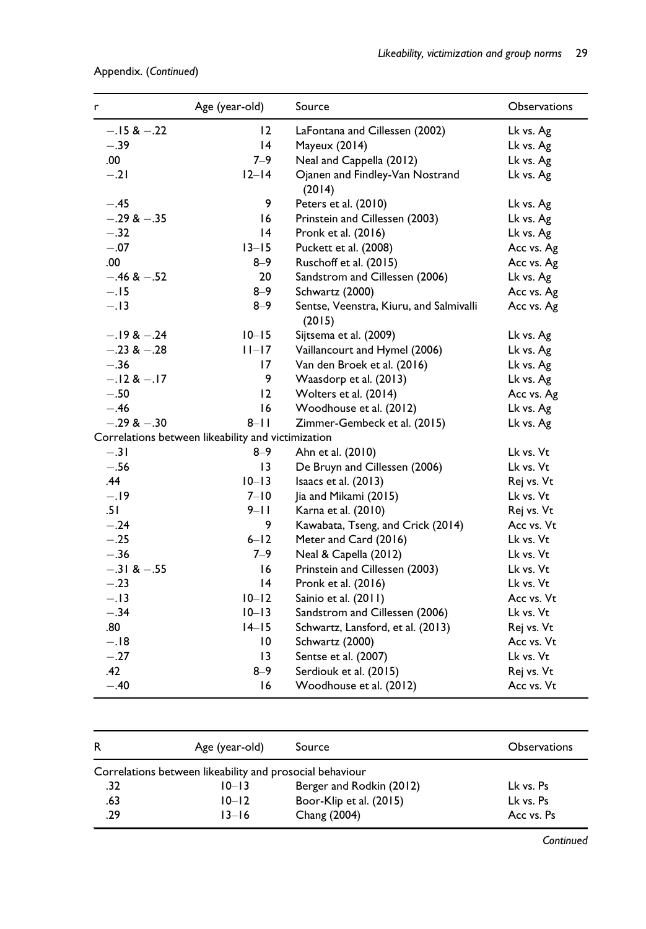# 1. (Continued) Appendix. (Continued)

| r               | Age (year-old)                                     | Source                                            | <b>Observations</b> |
|-----------------|----------------------------------------------------|---------------------------------------------------|---------------------|
| $-.15 & -.22$   | 12                                                 | LaFontana and Cillessen (2002)                    | Lk vs. Ag           |
| $-.39$          | 4                                                  | Mayeux (2014)                                     | Lk vs. Ag           |
| .00.            | $7 - 9$                                            | Neal and Cappella (2012)                          | Lk vs. Ag           |
| $-.21$          | $12-14$                                            | Ojanen and Findley-Van Nostrand<br>(2014)         | Lk vs. Ag           |
| $-.45$          | 9                                                  | Peters et al. (2010)                              | Lk vs. Ag           |
| $-.29 & - .35$  | 16                                                 | Prinstein and Cillessen (2003)                    | Lk vs. Ag           |
| $-.32$          | $\overline{14}$                                    | Pronk et al. (2016)                               | Lk vs. Ag           |
| $-.07$          | $13 - 15$                                          | Puckett et al. (2008)                             | Acc vs. Ag          |
| .00.            | $8 - 9$                                            | Ruschoff et al. (2015)                            | Acc vs. Ag          |
| $-.46 & -.52$   | 20                                                 | Sandstrom and Cillessen (2006)                    | Lk vs. Ag           |
| $-.15$          | $8 - 9$                                            | Schwartz (2000)                                   | Acc vs. Ag          |
| $-.13$          | $8 - 9$                                            | Sentse, Veenstra, Kiuru, and Salmivalli<br>(2015) | Acc vs. Ag          |
| $-.19 & -.24$   | $10 - 15$                                          | Sijtsema et al. (2009)                            | Lk vs. Ag           |
| $-.23$ & $-.28$ | $ I -17$                                           | Vaillancourt and Hymel (2006)                     | Lk vs. Ag           |
| $-.36$          | 17                                                 | Van den Broek et al. (2016)                       | Lk vs. Ag           |
| $-.12 & -.17$   | 9                                                  | Waasdorp et al. (2013)                            | Lk vs. Ag           |
| $-.50$          | 12                                                 | Wolters et al. (2014)                             | Acc vs. Ag          |
| $-.46$          | 16                                                 | Woodhouse et al. (2012)                           | Lk vs. Ag           |
| $-.29 & -.30$   | $8 - 11$                                           | Zimmer-Gembeck et al. (2015)                      | Lk vs. Ag           |
|                 | Correlations between likeability and victimization |                                                   |                     |
| $-.31$          | 8–9                                                | Ahn et al. (2010)                                 | Lk vs. Vt           |
| $-.56$          | $\overline{13}$                                    | De Bruyn and Cillessen (2006)                     | Lk vs. Vt           |
| .44             | $10 - 13$                                          | Isaacs et al. (2013)                              | Rej vs. Vt          |
| $-.19$          | $7 - 10$                                           | Jia and Mikami (2015)                             | Lk vs. Vt           |
| .51             | $9 - 11$                                           | Karna et al. (2010)                               | Rej vs. Vt          |
| $-.24$          | 9                                                  | Kawabata, Tseng, and Crick (2014)                 | Acc vs. Vt          |
| $-.25$          | $6 - 12$                                           | Meter and Card (2016)                             | Lk vs. Vt           |
| $-.36$          | $7 - 9$                                            | Neal & Capella (2012)                             | Lk vs. Vt           |
| $-.31 & -.55$   | 16                                                 | Prinstein and Cillessen (2003)                    | Lk vs. Vt           |
| $-.23$          | 4                                                  | Pronk et al. (2016)                               | Lk vs. Vt           |
| $-.13$          | $10 - 12$                                          | Sainio et al. (2011)                              | Acc vs. Vt          |
| $-.34$          | $10 - 13$                                          | Sandstrom and Cillessen (2006)                    | Lk vs. Vt           |
| .80             | $14-15$                                            | Schwartz, Lansford, et al. (2013)                 | Rej vs. Vt          |
| $-.18$          | $\overline{10}$                                    | Schwartz (2000)                                   | Acc vs. Vt          |
| $-.27$          | 13                                                 | Sentse et al. (2007)                              | Lk vs. Vt           |
| .42             | $8 - 9$                                            | Serdiouk et al. (2015)                            | Rej vs. Vt          |
| $-.40$          | 16                                                 | Woodhouse et al. (2012)                           | Acc vs. Vt          |

| R   | Age (year-old)                                           | Source                   | <b>Observations</b> |
|-----|----------------------------------------------------------|--------------------------|---------------------|
|     | Correlations between likeability and prosocial behaviour |                          |                     |
| .32 | $10 - 13$                                                | Berger and Rodkin (2012) | Lk vs. Ps           |
| .63 | $10 - 12$                                                | Boor-Klip et al. (2015)  | Lk vs. Ps           |
| .29 | $13 - 16$                                                | Chang (2004)             | Acc vs. Ps          |

**Continued**